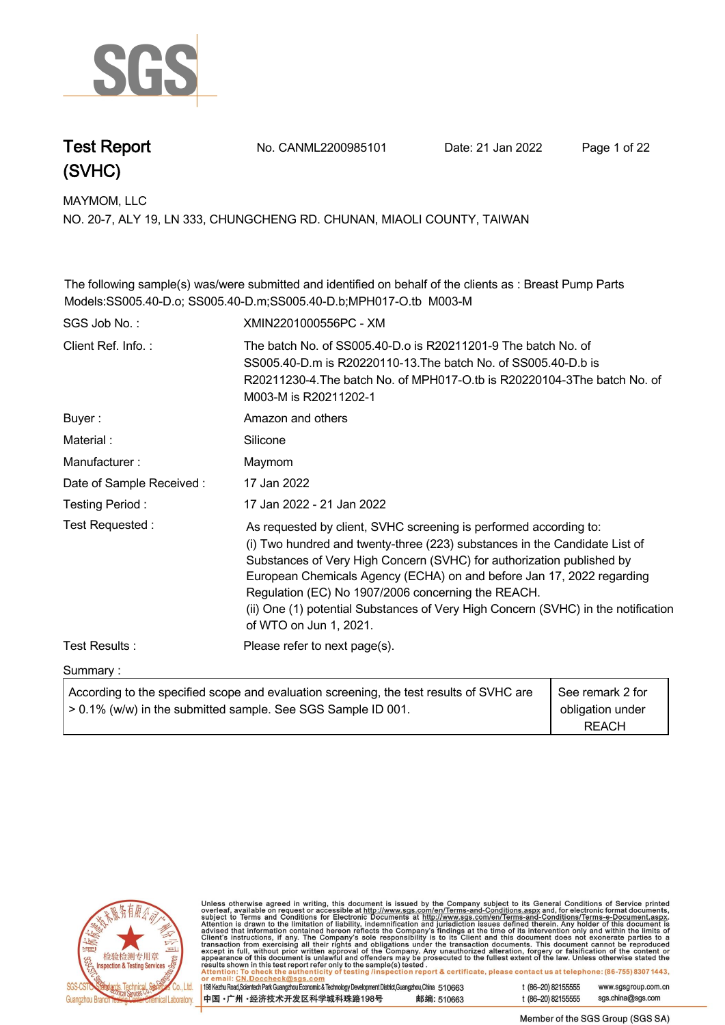

**Test Report. No. CANML2200985101 Date: 21 Jan 2022. Page 1 of 22.**

**MAYMOM, LLC.**

**NO. 20-7, ALY 19, LN 333, CHUNGCHENG RD. CHUNAN, MIAOLI COUNTY, TAIWAN**

**The following sample(s) was/were submitted and identified on behalf of the clients as : Breast Pump Parts Models:SS005.40-D.o; SS005.40-D.m;SS005.40-D.b;MPH017-O.tb M003-M .**

| SGS Job No.:             | XMIN2201000556PC - XM                                                                                                                                                                                                                                                                                                                                                                                                                                                  |                                                      |
|--------------------------|------------------------------------------------------------------------------------------------------------------------------------------------------------------------------------------------------------------------------------------------------------------------------------------------------------------------------------------------------------------------------------------------------------------------------------------------------------------------|------------------------------------------------------|
| Client Ref. Info.:       | The batch No. of SS005.40-D.o is R20211201-9 The batch No. of<br>SS005.40-D.m is R20220110-13. The batch No. of SS005.40-D.b is<br>R20211230-4. The batch No. of MPH017-O.tb is R20220104-3The batch No. of<br>M003-M is R20211202-1                                                                                                                                                                                                                                   |                                                      |
| Buyer:                   | Amazon and others                                                                                                                                                                                                                                                                                                                                                                                                                                                      |                                                      |
| Material:                | Silicone                                                                                                                                                                                                                                                                                                                                                                                                                                                               |                                                      |
| Manufacturer:            | Maymom                                                                                                                                                                                                                                                                                                                                                                                                                                                                 |                                                      |
| Date of Sample Received: | 17 Jan 2022                                                                                                                                                                                                                                                                                                                                                                                                                                                            |                                                      |
| Testing Period:          | 17 Jan 2022 - 21 Jan 2022                                                                                                                                                                                                                                                                                                                                                                                                                                              |                                                      |
| Test Requested:          | As requested by client, SVHC screening is performed according to:<br>(i) Two hundred and twenty-three (223) substances in the Candidate List of<br>Substances of Very High Concern (SVHC) for authorization published by<br>European Chemicals Agency (ECHA) on and before Jan 17, 2022 regarding<br>Regulation (EC) No 1907/2006 concerning the REACH.<br>(ii) One (1) potential Substances of Very High Concern (SVHC) in the notification<br>of WTO on Jun 1, 2021. |                                                      |
| Test Results:            | Please refer to next page(s).                                                                                                                                                                                                                                                                                                                                                                                                                                          |                                                      |
| Summary:                 |                                                                                                                                                                                                                                                                                                                                                                                                                                                                        |                                                      |
|                          | According to the specified scope and evaluation screening, the test results of SVHC are<br>> 0.1% (w/w) in the submitted sample. See SGS Sample ID 001.                                                                                                                                                                                                                                                                                                                | See remark 2 for<br>obligation under<br><b>REACH</b> |



Unless otherwise agreed in writing, this document is issued by the Company subject to its General Conditions of Service printed overleaf, available on request or accessible at http://www.sgs.com/en/Terms-and-Conditions.as

198 Kezhu Road, Scientech Park Guangzhou Economic & Technology Development District, Guangzhou, China 510663 中国·广州·经济技术开发区科学城科珠路198号 邮编: 510663 t (86-20) 82155555 www.sgsgroup.com.cn

sgs.china@sgs.com

Member of the SGS Group (SGS SA)

t (86-20) 82155555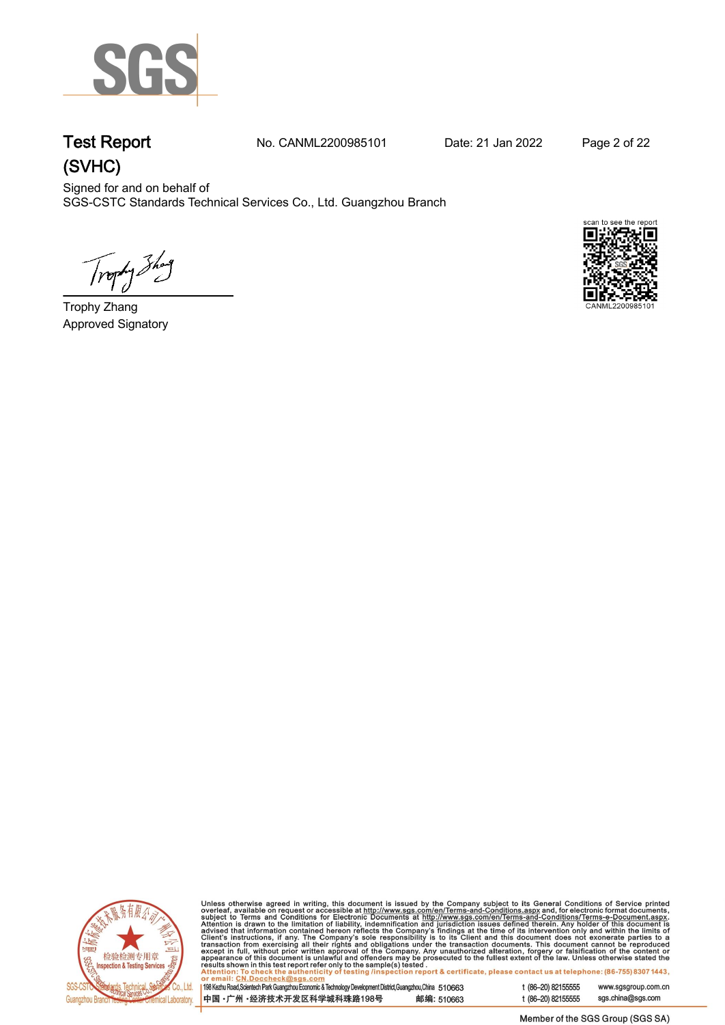

**Test Report. No. CANML2200985101 Date: 21 Jan 2022. Page 2 of 22.**

Signed for and on behalf of SGS-CSTC Standards Technical Services Co., Ltd. Guangzhou Branch.

Trophy Show

**Trophy Zhang. Approved Signatory . . .**





Unless otherwise agreed in writing, this document is issued by the Company subject to its General Conditions of Service printed overleaf, available on request or accessible at http://www.sgs.com/en/Terms-and-Conditions.as

198 Kezhu Road, Scientech Park Guangzhou Economic & Technology Development District, Guangzhou, China 510663 邮编: 510663 中国·广州·经济技术开发区科学城科珠路198号

t (86-20) 82155555 www.sgsgroup.com.cn t (86-20) 82155555 sgs.china@sgs.com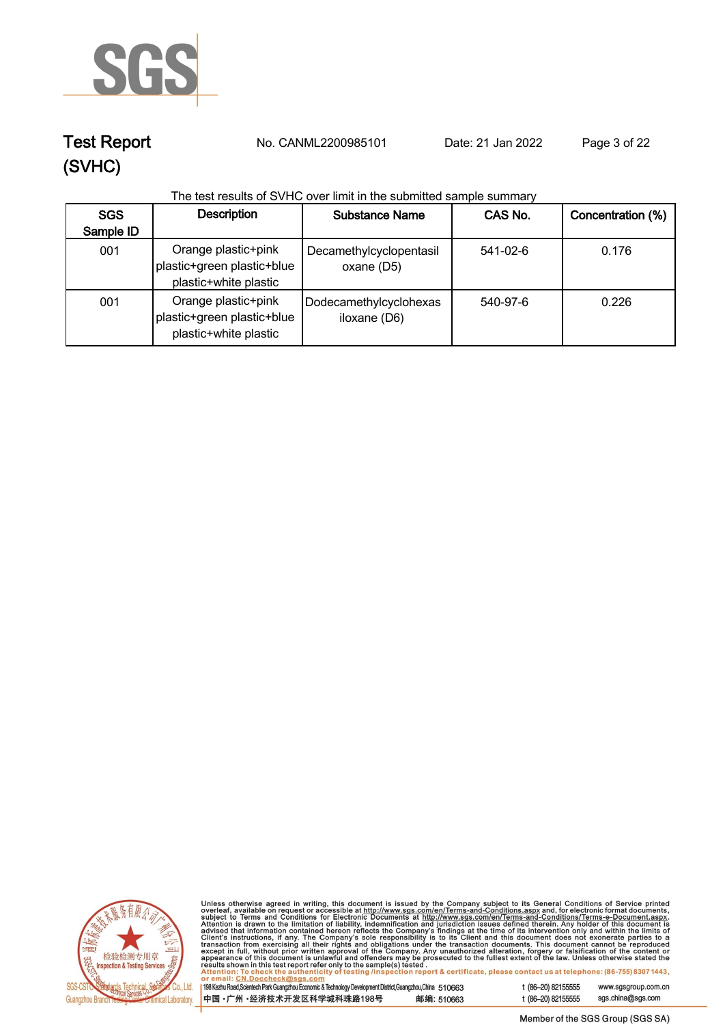

**Test Report. No. CANML2200985101 Date: 21 Jan 2022. Page 3 of 22.**

#### **The test results of SVHC over limit in the submitted sample summary**

| <b>SGS</b><br>Sample ID | <b>Description</b>                                                         | <b>Substance Name</b>                  | CAS No.  | Concentration (%) |
|-------------------------|----------------------------------------------------------------------------|----------------------------------------|----------|-------------------|
| 001                     | Orange plastic+pink<br>plastic+green plastic+blue<br>plastic+white plastic | Decamethylcyclopentasil<br>oxane (D5)  | 541-02-6 | 0.176             |
| 001                     | Orange plastic+pink<br>plastic+green plastic+blue<br>plastic+white plastic | Dodecamethylcyclohexas<br>iloxane (D6) | 540-97-6 | 0.226             |



Unless otherwise agreed in writing, this document is issued by the Company subject to its General Conditions of Service printed<br>overleaf, available on request or accessible at http://www.sgs.com/en/Terms-and-Conditions.as

| 198 Kezhu Road,Scientech Park Guangzhou Economic & Technology Development District,Guangzhou,China 510663 |            |
|-----------------------------------------------------------------------------------------------------------|------------|
| 中国 •广州 •经济技术开发区科学城科珠路198号 »                                                                               | 邮编: 510663 |

t (86-20) 82155555 www.sgsgroup.com.cn t (86-20) 82155555 sgs.china@sgs.com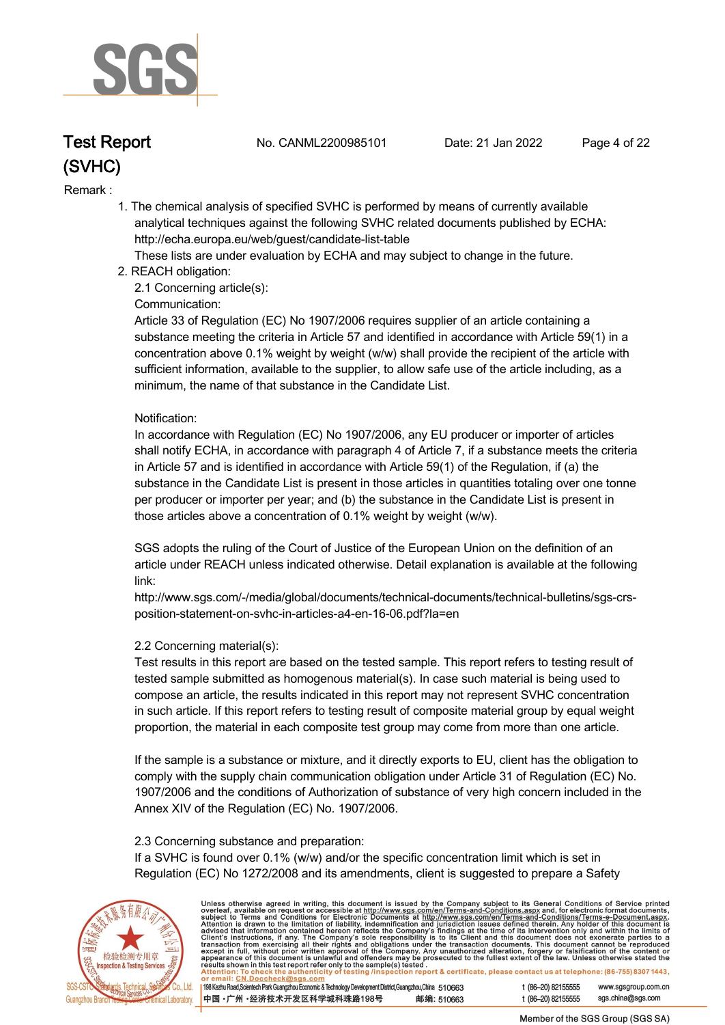

**Test Report. No. CANML2200985101 Date: 21 Jan 2022. Page 4 of 22.**

#### **Remark :.**

 **1. The chemical analysis of specified SVHC is performed by means of currently available analytical techniques against the following SVHC related documents published by ECHA: http://echa.europa.eu/web/guest/candidate-list-table** 

 **These lists are under evaluation by ECHA and may subject to change in the future.** 

 **2. REACH obligation:** 

 **2.1 Concerning article(s):** 

#### **Communication:**

 **Article 33 of Regulation (EC) No 1907/2006 requires supplier of an article containing a substance meeting the criteria in Article 57 and identified in accordance with Article 59(1) in a concentration above 0.1% weight by weight (w/w) shall provide the recipient of the article with sufficient information, available to the supplier, to allow safe use of the article including, as a minimum, the name of that substance in the Candidate List.** 

#### **Notification:**

 **In accordance with Regulation (EC) No 1907/2006, any EU producer or importer of articles shall notify ECHA, in accordance with paragraph 4 of Article 7, if a substance meets the criteria in Article 57 and is identified in accordance with Article 59(1) of the Regulation, if (a) the substance in the Candidate List is present in those articles in quantities totaling over one tonne per producer or importer per year; and (b) the substance in the Candidate List is present in those articles above a concentration of 0.1% weight by weight (w/w).** 

 **SGS adopts the ruling of the Court of Justice of the European Union on the definition of an article under REACH unless indicated otherwise. Detail explanation is available at the following link:** 

 **http://www.sgs.com/-/media/global/documents/technical-documents/technical-bulletins/sgs-crs position-statement-on-svhc-in-articles-a4-en-16-06.pdf?la=en** 

#### **2.2 Concerning material(s):**

 **Test results in this report are based on the tested sample. This report refers to testing result of tested sample submitted as homogenous material(s). In case such material is being used to compose an article, the results indicated in this report may not represent SVHC concentration in such article. If this report refers to testing result of composite material group by equal weight proportion, the material in each composite test group may come from more than one article.** 

 **If the sample is a substance or mixture, and it directly exports to EU, client has the obligation to comply with the supply chain communication obligation under Article 31 of Regulation (EC) No. 1907/2006 and the conditions of Authorization of substance of very high concern included in the Annex XIV of the Regulation (EC) No. 1907/2006.** 

#### **2.3 Concerning substance and preparation:**

 **If a SVHC is found over 0.1% (w/w) and/or the specific concentration limit which is set in Regulation (EC) No 1272/2008 and its amendments, client is suggested to prepare a Safety** 



Unless otherwise agreed in writing, this document is issued by the Company subject to its General Conditions of Service printed overleaf, available on request or accessible at http://www.sgs.com/en/Terms-and-Conditions.as

198 Kezhu Road, Scientech Park Guangzhou Economic & Technology Development District, Guangzhou, China 510663 邮编: 510663 中国·广州·经济技术开发区科学城科珠路198号

t (86-20) 82155555 www.sgsgroup.com.cn

t (86-20) 82155555

sgs.china@sgs.com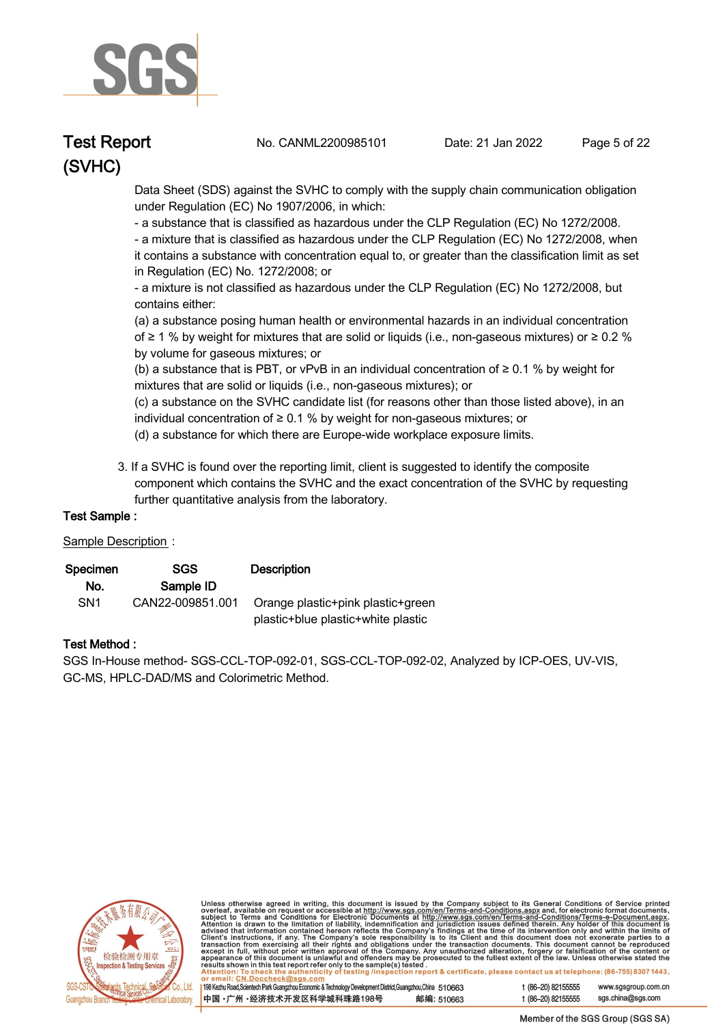

**Test Report. No. CANML2200985101 Date: 21 Jan 2022. Page 5 of 22.**

 **Data Sheet (SDS) against the SVHC to comply with the supply chain communication obligation under Regulation (EC) No 1907/2006, in which:** 

 **- a substance that is classified as hazardous under the CLP Regulation (EC) No 1272/2008.** 

 **- a mixture that is classified as hazardous under the CLP Regulation (EC) No 1272/2008, when it contains a substance with concentration equal to, or greater than the classification limit as set in Regulation (EC) No. 1272/2008; or** 

 **- a mixture is not classified as hazardous under the CLP Regulation (EC) No 1272/2008, but contains either:** 

 **(a) a substance posing human health or environmental hazards in an individual concentration of ≥ 1 % by weight for mixtures that are solid or liquids (i.e., non-gaseous mixtures) or ≥ 0.2 % by volume for gaseous mixtures; or** 

 **(b) a substance that is PBT, or vPvB in an individual concentration of ≥ 0.1 % by weight for mixtures that are solid or liquids (i.e., non-gaseous mixtures); or** 

 **(c) a substance on the SVHC candidate list (for reasons other than those listed above), in an individual concentration of ≥ 0.1 % by weight for non-gaseous mixtures; or** 

- **(d) a substance for which there are Europe-wide workplace exposure limits.**
- **3. If a SVHC is found over the reporting limit, client is suggested to identify the composite component which contains the SVHC and the exact concentration of the SVHC by requesting further quantitative analysis from the laboratory.**

#### **Test Sample :.**

#### **Sample Description:**

| Specimen        | <b>SGS</b>       | <b>Description</b>                 |
|-----------------|------------------|------------------------------------|
| No.             | Sample ID        |                                    |
| SN <sub>1</sub> | CAN22-009851.001 | Orange plastic+pink plastic+green  |
|                 |                  | plastic+blue plastic+white plastic |

#### **Test Method :.**

**SGS In-House method- SGS-CCL-TOP-092-01, SGS-CCL-TOP-092-02, Analyzed by ICP-OES, UV-VIS, GC-MS, HPLC-DAD/MS and Colorimetric Method. .**



Unless otherwise agreed in writing, this document is issued by the Company subject to its General Conditions of Service printed<br>overleaf, available on request or accessible at <u>http://www.sgs.com/en/Terms-and-Conditions.as</u>

198 Kezhu Road, Scientech Park Guangzhou Economic & Technology Development District, Guangzhou, China 510663 中国·广州·经济技术开发区科学城科珠路198号 邮编: 510663

t (86-20) 82155555 www.sgsgroup.com.cn sgs.china@sgs.com t (86-20) 82155555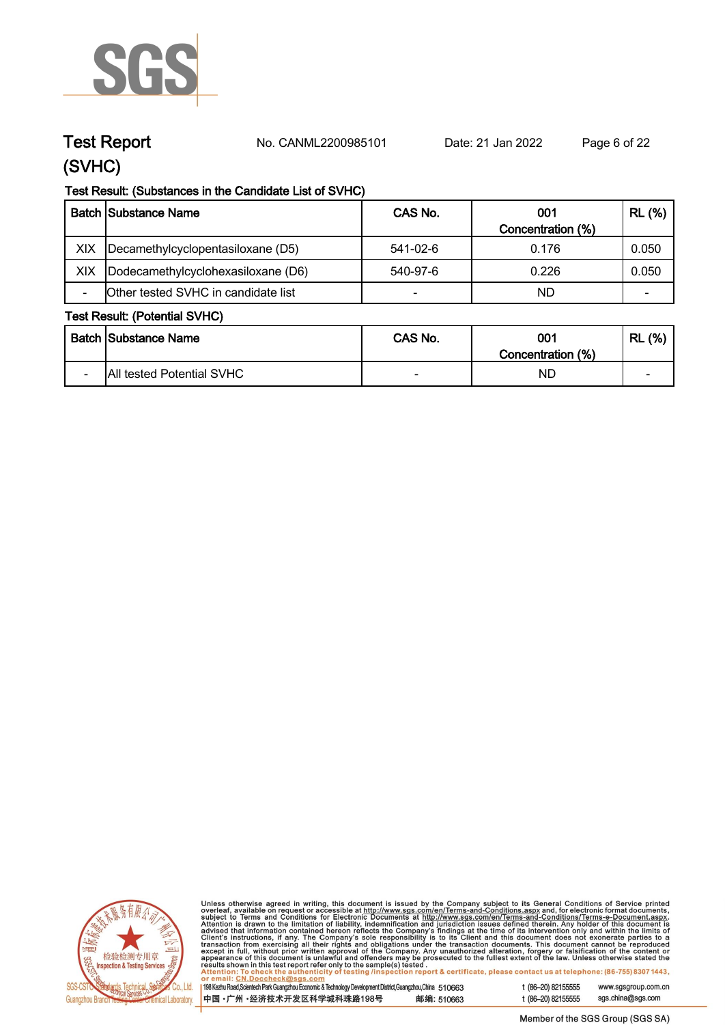

**Test Report. No. CANML2200985101 Date: 21 Jan 2022. Page 6 of 22.**

## **(SVHC)**

#### **Test Result: (Substances in the Candidate List of SVHC)**

|     | <b>Batch Substance Name</b>         | CAS No.                  | 001               | <b>RL (%)</b> |
|-----|-------------------------------------|--------------------------|-------------------|---------------|
|     |                                     |                          | Concentration (%) |               |
| XIX | Decamethylcyclopentasiloxane (D5)   | 541-02-6                 | 0.176             | 0.050         |
| XIX | Dodecamethylcyclohexasiloxane (D6)  | 540-97-6                 | 0.226             | 0.050         |
|     | Other tested SVHC in candidate list | $\overline{\phantom{0}}$ | ND                | -             |

#### **Test Result: (Potential SVHC)**

|                          | <b>Batch Substance Name</b>      | CAS No.                  | 001<br>Concentration (%) | (% )<br><b>RL</b>        |
|--------------------------|----------------------------------|--------------------------|--------------------------|--------------------------|
| $\overline{\phantom{0}}$ | <b>All tested Potential SVHC</b> | $\overline{\phantom{0}}$ | ND                       | $\overline{\phantom{0}}$ |



Unless otherwise agreed in writing, this document is issued by the Company subject to its General Conditions of Service printed overleaf, available on request or accessible at http://www.sgs.com/en/Terms-and-Conditions.as

198 Kezhu Road, Scientech Park Guangzhou Economic & Technology Development District, Guangzhou, China 510663 中国·广州·经济技术开发区科学城科珠路198号 邮编: 510663 t (86-20) 82155555 www.sgsgroup.com.cn t (86-20) 82155555 sgs.china@sgs.com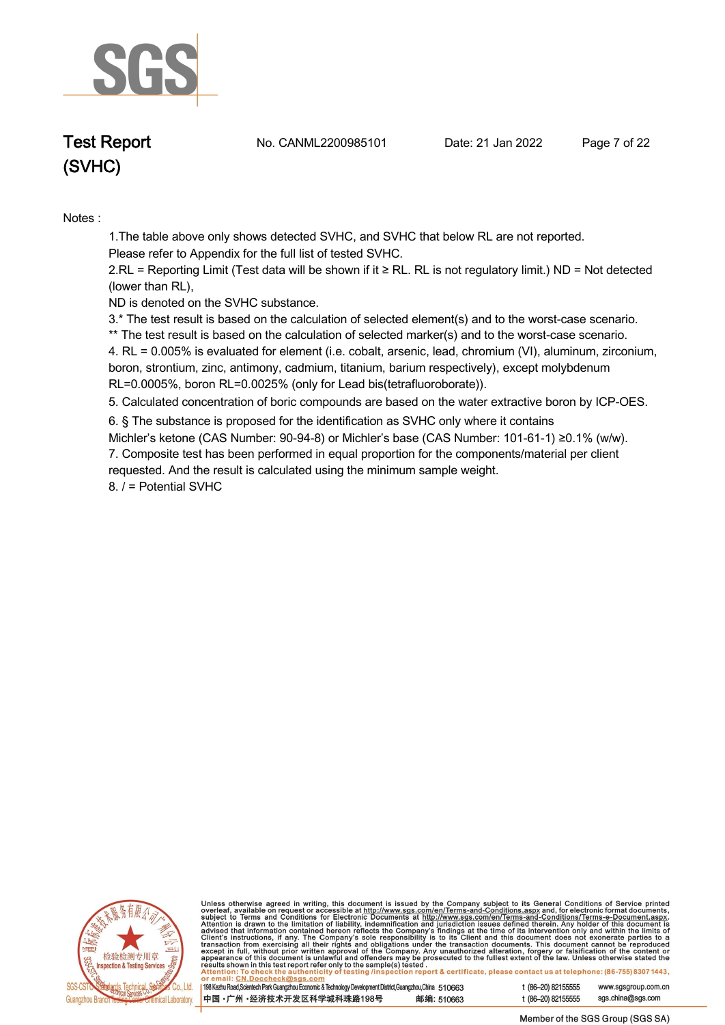

**Test Report. No. CANML2200985101 Date: 21 Jan 2022. Page 7 of 22.**

**Notes :.**

**1.The table above only shows detected SVHC, and SVHC that below RL are not reported.** 

**Please refer to Appendix for the full list of tested SVHC.**

**2.RL = Reporting Limit (Test data will be shown if it ≥ RL. RL is not regulatory limit.) ND = Not detected (lower than RL),** 

**ND is denoted on the SVHC substance.**

**3.\* The test result is based on the calculation of selected element(s) and to the worst-case scenario.** 

**\*\* The test result is based on the calculation of selected marker(s) and to the worst-case scenario.** 

**4. RL = 0.005% is evaluated for element (i.e. cobalt, arsenic, lead, chromium (VI), aluminum, zirconium, boron, strontium, zinc, antimony, cadmium, titanium, barium respectively), except molybdenum RL=0.0005%, boron RL=0.0025% (only for Lead bis(tetrafluoroborate)). .**

**5. Calculated concentration of boric compounds are based on the water extractive boron by ICP-OES. .**

**6. § The substance is proposed for the identification as SVHC only where it contains Michler's ketone (CAS Number: 90-94-8) or Michler's base (CAS Number: 101-61-1) ≥0.1% (w/w).**

**7. Composite test has been performed in equal proportion for the components/material per client requested. And the result is calculated using the minimum sample weight.**

**8. / = Potential SVHC .**



Unless otherwise agreed in writing, this document is issued by the Company subject to its General Conditions of Service printed<br>overleaf, available on request or accessible at <u>http://www.sgs.com/en/Terms-and-Conditions.as</u>

198 Kezhu Road, Scientech Park Guangzhou Economic & Technology Development District, Guangzhou, China 510663 中国·广州·经济技术开发区科学城科珠路198号 邮编: 510663 t (86-20) 82155555 www.sgsgroup.com.cn sgs.china@sgs.com t (86-20) 82155555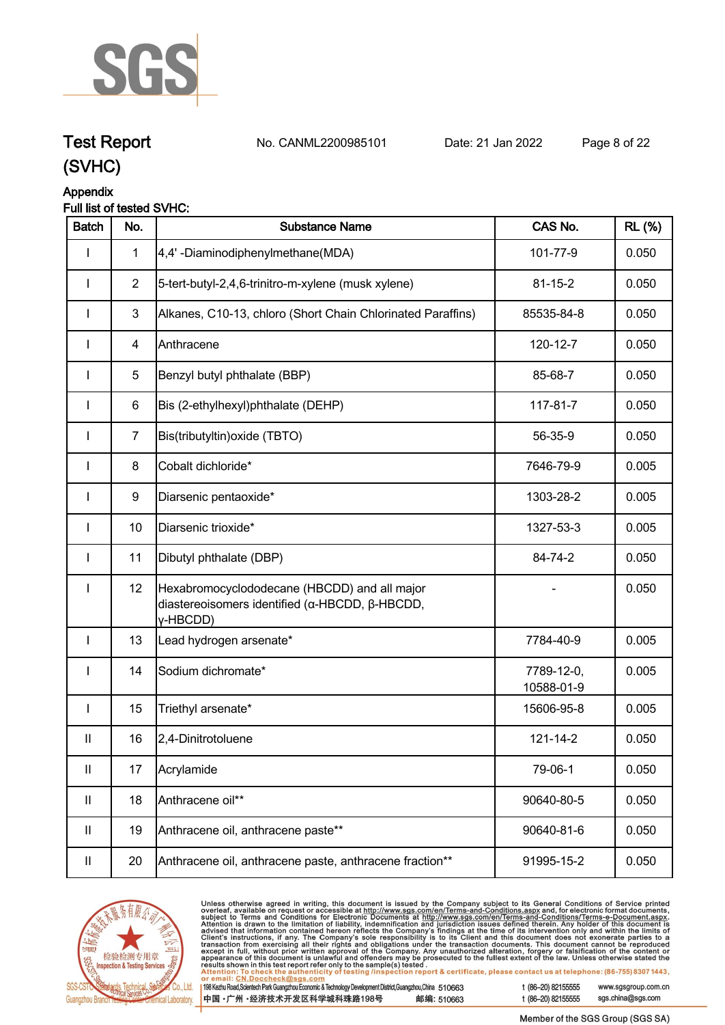

**Test Report. No. CANML2200985101 Date: 21 Jan 2022. Page 8 of 22.**

## **(SVHC)**

## **Appendix**

#### **Full list of tested SVHC:**

| <b>Batch</b>               | No.            | <b>Substance Name</b>                                                                                      | CAS No.                  | <b>RL</b> (%) |
|----------------------------|----------------|------------------------------------------------------------------------------------------------------------|--------------------------|---------------|
|                            | $\mathbf{1}$   | 4,4'-Diaminodiphenylmethane(MDA)                                                                           | 101-77-9                 | 0.050         |
| $\mathbf{I}$               | $\overline{2}$ | 5-tert-butyl-2,4,6-trinitro-m-xylene (musk xylene)                                                         | $81 - 15 - 2$            | 0.050         |
|                            | 3              | Alkanes, C10-13, chloro (Short Chain Chlorinated Paraffins)                                                | 85535-84-8               | 0.050         |
|                            | 4              | Anthracene                                                                                                 | 120-12-7                 | 0.050         |
|                            | 5              | Benzyl butyl phthalate (BBP)                                                                               | 85-68-7                  | 0.050         |
| L                          | 6              | Bis (2-ethylhexyl)phthalate (DEHP)                                                                         | 117-81-7                 | 0.050         |
| L                          | $\overline{7}$ | Bis(tributyltin) oxide (TBTO)                                                                              | 56-35-9                  | 0.050         |
| $\mathbf{I}$               | 8              | Cobalt dichloride*                                                                                         | 7646-79-9                | 0.005         |
| $\mathbf{I}$               | 9              | Diarsenic pentaoxide*                                                                                      | 1303-28-2                | 0.005         |
| I                          | 10             | Diarsenic trioxide*                                                                                        | 1327-53-3                | 0.005         |
| $\mathbf{I}$               | 11             | Dibutyl phthalate (DBP)                                                                                    | 84-74-2                  | 0.050         |
| $\mathbf{I}$               | 12             | Hexabromocyclododecane (HBCDD) and all major<br>diastereoisomers identified (α-HBCDD, β-HBCDD,<br>y-HBCDD) |                          | 0.050         |
| $\mathbf{I}$               | 13             | Lead hydrogen arsenate*                                                                                    | 7784-40-9                | 0.005         |
| $\mathbf{I}$               | 14             | Sodium dichromate*                                                                                         | 7789-12-0,<br>10588-01-9 | 0.005         |
| $\mathbf{I}$               | 15             | Triethyl arsenate*                                                                                         | 15606-95-8               | 0.005         |
| $\ensuremath{\mathsf{II}}$ | 16             | 2,4-Dinitrotoluene                                                                                         | $121 - 14 - 2$           | 0.050         |
| Ш                          | 17             | Acrylamide                                                                                                 | 79-06-1                  | 0.050         |
| Ш                          | 18             | Anthracene oil**                                                                                           | 90640-80-5               | 0.050         |
| $\mathbf{II}$              | 19             | Anthracene oil, anthracene paste**                                                                         | 90640-81-6               | 0.050         |
| Ш                          | 20             | Anthracene oil, anthracene paste, anthracene fraction**                                                    | 91995-15-2               | 0.050         |



Unless otherwise agreed in writing, this document is issued by the Company subject to its General Conditions of Service printed overleaf, available on request or accessible at http://www.sgs.com/en/Terms-and-Conditions.as

| 198 Kezhu Road,Scientech Park Guangzhou Economic & Technology Development District,Guangzhou,China 510663 |            |
|-----------------------------------------------------------------------------------------------------------|------------|
| 中国 •广州 •经济技术开发区科学城科珠路198号                                                                                 | 邮编: 510663 |

t (86-20) 82155555 www.sgsgroup.com.cn

sgs.china@sgs.com t (86-20) 82155555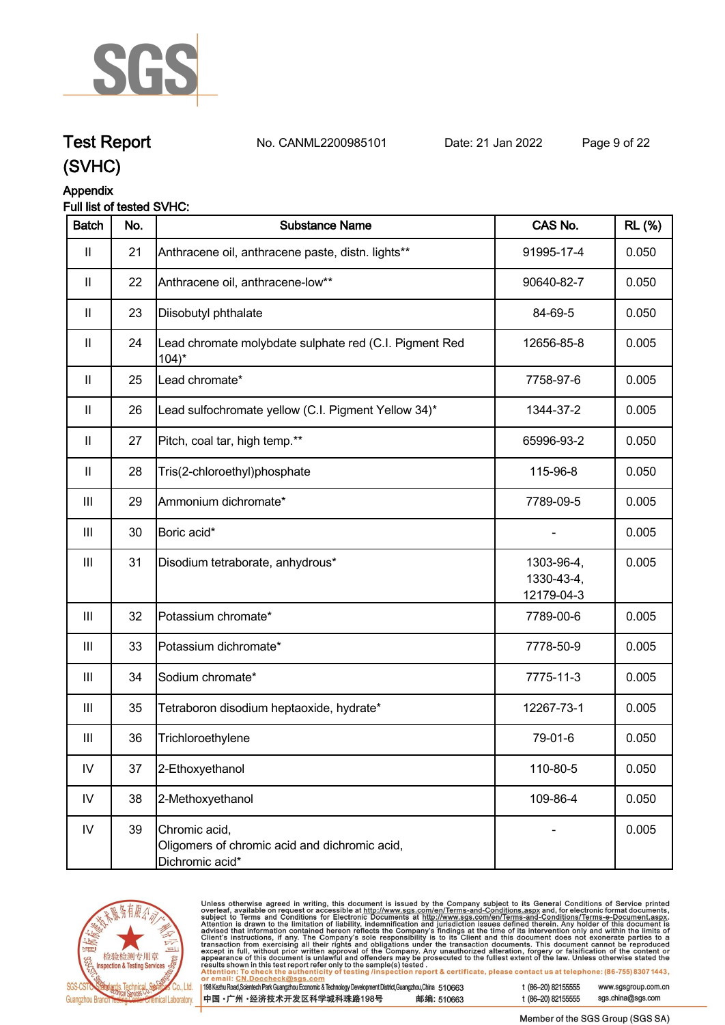

## **Test Report. No. CANML2200985101 Date: 21 Jan 2022. Page 9 of 22.**

## **(SVHC)**

### **Appendix**

#### **Full list of tested SVHC:**

| <b>Batch</b>       | No. | <b>Substance Name</b>                                                             | CAS No.                                | <b>RL (%)</b> |
|--------------------|-----|-----------------------------------------------------------------------------------|----------------------------------------|---------------|
| $\mathbf{II}$      | 21  | Anthracene oil, anthracene paste, distn. lights**                                 | 91995-17-4                             | 0.050         |
| $\mathbf{  }$      | 22  | Anthracene oil, anthracene-low**                                                  | 90640-82-7                             | 0.050         |
| $\mathbf{II}$      | 23  | Diisobutyl phthalate                                                              | 84-69-5                                | 0.050         |
| $\mathbf{II}$      | 24  | Lead chromate molybdate sulphate red (C.I. Pigment Red<br>$104$ <sup>*</sup>      | 12656-85-8                             | 0.005         |
| $\mathbf{II}$      | 25  | Lead chromate*                                                                    | 7758-97-6                              | 0.005         |
| $\mathbf{II}$      | 26  | Lead sulfochromate yellow (C.I. Pigment Yellow 34)*                               | 1344-37-2                              | 0.005         |
| $\mathbf{II}$      | 27  | Pitch, coal tar, high temp.**                                                     | 65996-93-2                             | 0.050         |
| $\mathbf{II}$      | 28  | Tris(2-chloroethyl)phosphate                                                      | 115-96-8                               | 0.050         |
| $\mathop{\rm III}$ | 29  | Ammonium dichromate*                                                              | 7789-09-5                              | 0.005         |
| Ш                  | 30  | Boric acid*                                                                       |                                        | 0.005         |
| Ш                  | 31  | Disodium tetraborate, anhydrous*                                                  | 1303-96-4,<br>1330-43-4,<br>12179-04-3 | 0.005         |
| $\mathbf{III}$     | 32  | Potassium chromate*                                                               | 7789-00-6                              | 0.005         |
| $\mathbf{III}$     | 33  | Potassium dichromate*                                                             | 7778-50-9                              | 0.005         |
| $\mathbf{III}$     | 34  | Sodium chromate*                                                                  | 7775-11-3                              | 0.005         |
| Ш                  | 35  | Tetraboron disodium heptaoxide, hydrate*                                          | 12267-73-1                             | 0.005         |
| Ш                  | 36  | Trichloroethylene                                                                 | 79-01-6                                | 0.050         |
| ${\sf IV}$         | 37  | 2-Ethoxyethanol                                                                   | 110-80-5                               | 0.050         |
| IV                 | 38  | 2-Methoxyethanol                                                                  | 109-86-4                               | 0.050         |
| ${\sf IV}$         | 39  | Chromic acid,<br>Oligomers of chromic acid and dichromic acid,<br>Dichromic acid* |                                        | 0.005         |



Unless otherwise agreed in writing, this document is issued by the Company subject to its General Conditions of Service printed overleaf, available on request or accessible at http://www.sgs.com/en/Terms-and-Conditions.as

198 Kezhu Road, Scientech Park Guangzhou Economic & Technology Development District, Guangzhou, China 510663 中国·广州·经济技术开发区科学城科珠路198号 邮编: 510663 t (86-20) 82155555

t (86-20) 82155555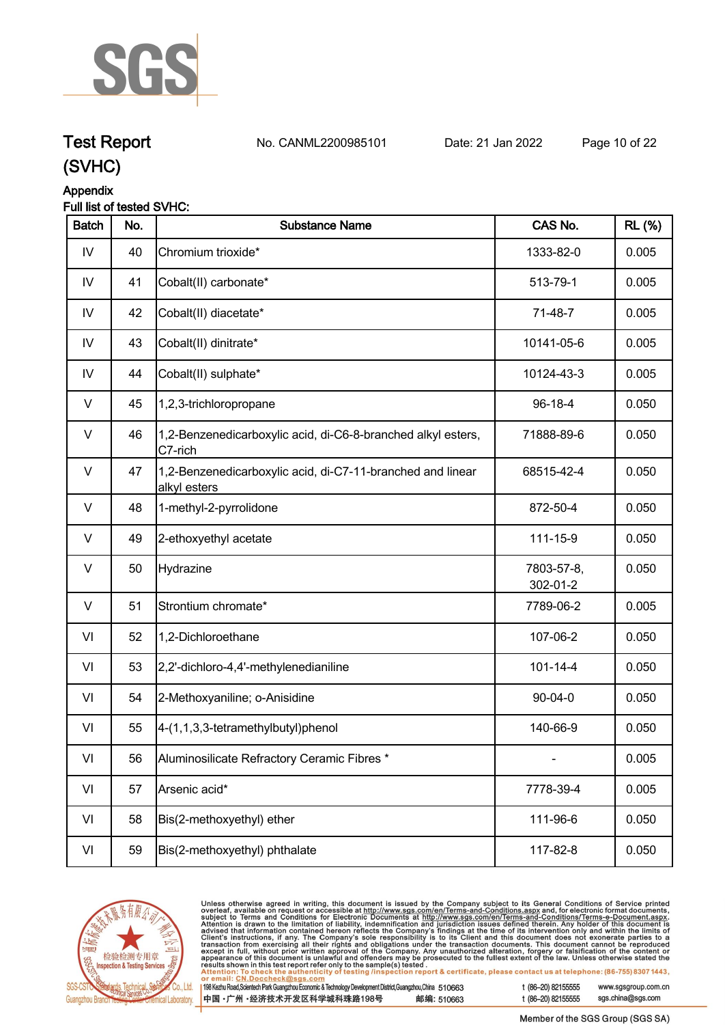

## **Test Report. No. CANML2200985101 Date: 21 Jan 2022. Page 10 of 22.**

## **(SVHC)**

### **Appendix**

#### **Full list of tested SVHC:**

| <b>Batch</b> | No. | <b>Substance Name</b>                                                      | CAS No.                | <b>RL (%)</b> |
|--------------|-----|----------------------------------------------------------------------------|------------------------|---------------|
| ${\sf IV}$   | 40  | Chromium trioxide*                                                         | 1333-82-0              | 0.005         |
| IV           | 41  | Cobalt(II) carbonate*                                                      | 513-79-1               | 0.005         |
| IV           | 42  | Cobalt(II) diacetate*                                                      | 71-48-7                | 0.005         |
| IV           | 43  | Cobalt(II) dinitrate*                                                      | 10141-05-6             | 0.005         |
| IV           | 44  | Cobalt(II) sulphate*                                                       | 10124-43-3             | 0.005         |
| $\vee$       | 45  | 1,2,3-trichloropropane                                                     | 96-18-4                | 0.050         |
| V            | 46  | 1,2-Benzenedicarboxylic acid, di-C6-8-branched alkyl esters,<br>C7-rich    | 71888-89-6             | 0.050         |
| V            | 47  | 1,2-Benzenedicarboxylic acid, di-C7-11-branched and linear<br>alkyl esters | 68515-42-4             | 0.050         |
| V            | 48  | 1-methyl-2-pyrrolidone                                                     | 872-50-4               | 0.050         |
| V            | 49  | 2-ethoxyethyl acetate                                                      | 111-15-9               | 0.050         |
| $\vee$       | 50  | Hydrazine                                                                  | 7803-57-8,<br>302-01-2 | 0.050         |
| V            | 51  | Strontium chromate*                                                        | 7789-06-2              | 0.005         |
| VI           | 52  | 1,2-Dichloroethane                                                         | 107-06-2               | 0.050         |
| VI           | 53  | 2,2'-dichloro-4,4'-methylenedianiline                                      | $101 - 14 - 4$         | 0.050         |
| VI           | 54  | 2-Methoxyaniline; o-Anisidine                                              | $90 - 04 - 0$          | 0.050         |
| VI           | 55  | 4-(1,1,3,3-tetramethylbutyl)phenol                                         | 140-66-9               | 0.050         |
| VI           | 56  | Aluminosilicate Refractory Ceramic Fibres *                                |                        | 0.005         |
| VI           | 57  | Arsenic acid*                                                              | 7778-39-4              | 0.005         |
| VI           | 58  | Bis(2-methoxyethyl) ether                                                  | 111-96-6               | 0.050         |
| VI           | 59  | Bis(2-methoxyethyl) phthalate                                              | 117-82-8               | 0.050         |



Unless otherwise agreed in writing, this document is issued by the Company subject to its General Conditions of Service printed overleaf, available on request or accessible at http://www.sgs.com/en/Terms-and-Conditions.as

198 Kezhu Road, Scientech Park Guangzhou Economic & Technology Development District, Guangzhou, China 510663 中国·广州·经济技术开发区科学城科珠路198号 邮编: 510663 t (86-20) 82155555 www.sgsgroup.com.cn

t (86-20) 82155555 sgs.china@sgs.com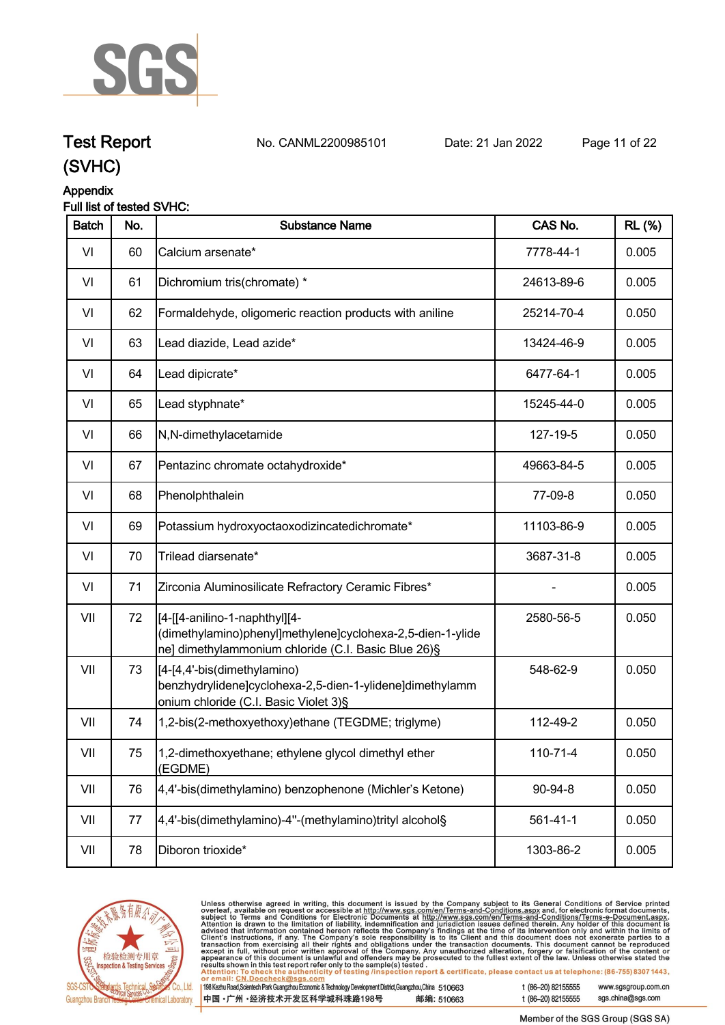

## **Test Report. No. CANML2200985101 Date: 21 Jan 2022. Page 11 of 22.**

**(SVHC)**

# **Appendix**

### **Full list of tested SVHC:**

| <b>Batch</b> | No. | <b>Substance Name</b>                                                                                                                              | CAS No.        | <b>RL (%)</b> |
|--------------|-----|----------------------------------------------------------------------------------------------------------------------------------------------------|----------------|---------------|
| VI           | 60  | Calcium arsenate*                                                                                                                                  | 7778-44-1      | 0.005         |
| VI           | 61  | Dichromium tris(chromate) *                                                                                                                        | 24613-89-6     | 0.005         |
| VI           | 62  | Formaldehyde, oligomeric reaction products with aniline                                                                                            | 25214-70-4     | 0.050         |
| VI           | 63  | Lead diazide, Lead azide*                                                                                                                          | 13424-46-9     | 0.005         |
| VI           | 64  | Lead dipicrate*                                                                                                                                    | 6477-64-1      | 0.005         |
| VI           | 65  | Lead styphnate*                                                                                                                                    | 15245-44-0     | 0.005         |
| VI           | 66  | N,N-dimethylacetamide                                                                                                                              | 127-19-5       | 0.050         |
| VI           | 67  | Pentazinc chromate octahydroxide*                                                                                                                  | 49663-84-5     | 0.005         |
| VI           | 68  | Phenolphthalein                                                                                                                                    | 77-09-8        | 0.050         |
| VI           | 69  | Potassium hydroxyoctaoxodizincatedichromate*                                                                                                       | 11103-86-9     | 0.005         |
| VI           | 70  | Trilead diarsenate*                                                                                                                                | 3687-31-8      | 0.005         |
| VI           | 71  | Zirconia Aluminosilicate Refractory Ceramic Fibres*                                                                                                |                | 0.005         |
| VII          | 72  | [4-[[4-anilino-1-naphthyl][4-<br>(dimethylamino)phenyl]methylene]cyclohexa-2,5-dien-1-ylide<br>ne] dimethylammonium chloride (C.I. Basic Blue 26)§ | 2580-56-5      | 0.050         |
| VII          | 73  | [4-[4,4'-bis(dimethylamino)<br>benzhydrylidene]cyclohexa-2,5-dien-1-ylidene]dimethylamm<br>onium chloride (C.I. Basic Violet 3)§                   | 548-62-9       | 0.050         |
| VII          | 74  | 1,2-bis(2-methoxyethoxy)ethane (TEGDME; triglyme)                                                                                                  | 112-49-2       | 0.050         |
| VII          | 75  | 1,2-dimethoxyethane; ethylene glycol dimethyl ether<br>(EGDME)                                                                                     | 110-71-4       | 0.050         |
| VII          | 76  | 4,4'-bis(dimethylamino) benzophenone (Michler's Ketone)                                                                                            | 90-94-8        | 0.050         |
| VII          | 77  | 4,4'-bis(dimethylamino)-4"-(methylamino)trityl alcohol§                                                                                            | $561 - 41 - 1$ | 0.050         |
| VII          | 78  | Diboron trioxide*                                                                                                                                  | 1303-86-2      | 0.005         |



Unless otherwise agreed in writing, this document is issued by the Company subject to its General Conditions of Service printed overleaf, available on request or accessible at http://www.sgs.com/en/Terms-and-Conditions.as

198 Kezhu Road, Scientech Park Guangzhou Economic & Technology Development District, Guangzhou, China 510663 中国·广州·经济技术开发区科学城科珠路198号 邮编: 510663 t (86-20) 82155555

t (86-20) 82155555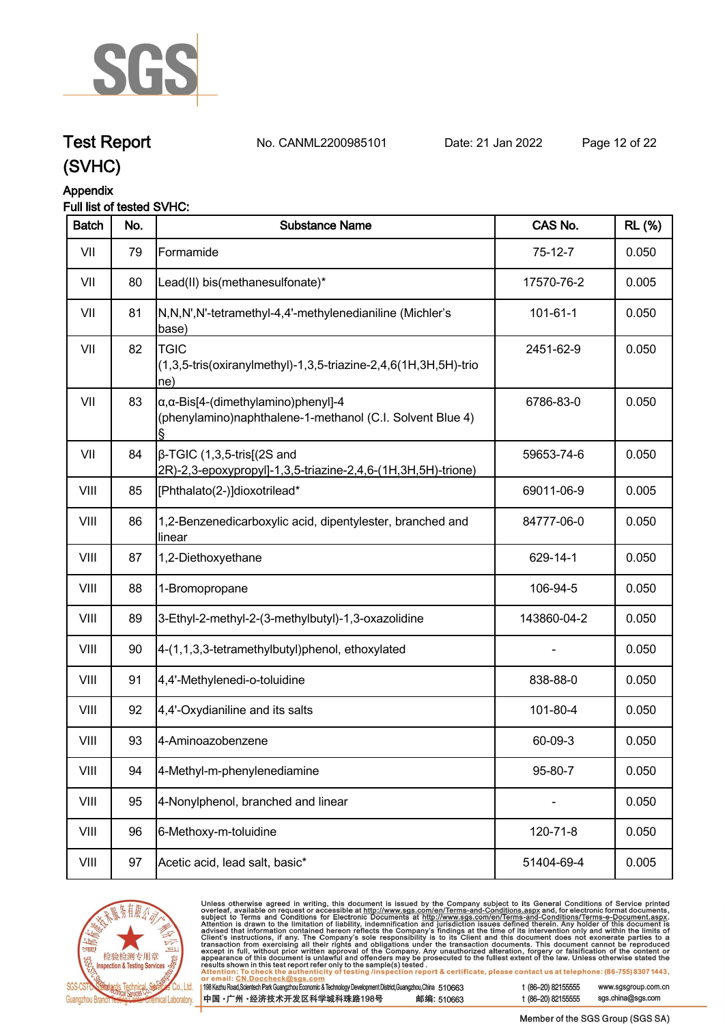

## **Test Report. No. CANML2200985101 Date: 21 Jan 2022. Page 12 of 22.**

## **(SVHC)**

### **Appendix**

#### **Full list of tested SVHC:**

| <b>Batch</b> | No. | <b>Substance Name</b>                                                                                            | CAS No.        | <b>RL</b> (%) |
|--------------|-----|------------------------------------------------------------------------------------------------------------------|----------------|---------------|
| VII          | 79  | Formamide                                                                                                        | $75-12-7$      | 0.050         |
| VII          | 80  | Lead(II) bis(methanesulfonate)*                                                                                  | 17570-76-2     | 0.005         |
| VII          | 81  | N,N,N',N'-tetramethyl-4,4'-methylenedianiline (Michler's<br>base)                                                | $101 - 61 - 1$ | 0.050         |
| VII          | 82  | <b>TGIC</b><br>(1,3,5-tris(oxiranylmethyl)-1,3,5-triazine-2,4,6(1H,3H,5H)-trio<br>ne)                            | 2451-62-9      | 0.050         |
| VII          | 83  | $\alpha$ , $\alpha$ -Bis[4-(dimethylamino)phenyl]-4<br>(phenylamino)naphthalene-1-methanol (C.I. Solvent Blue 4) | 6786-83-0      | 0.050         |
| VII          | 84  | $\beta$ -TGIC (1,3,5-tris[(2S and<br>2R)-2,3-epoxypropyl]-1,3,5-triazine-2,4,6-(1H,3H,5H)-trione)                | 59653-74-6     | 0.050         |
| VIII         | 85  | [Phthalato(2-)]dioxotrilead*                                                                                     | 69011-06-9     | 0.005         |
| VIII         | 86  | 1,2-Benzenedicarboxylic acid, dipentylester, branched and<br>linear                                              | 84777-06-0     | 0.050         |
| VIII         | 87  | 1,2-Diethoxyethane                                                                                               | 629-14-1       | 0.050         |
| VIII         | 88  | 1-Bromopropane                                                                                                   | 106-94-5       | 0.050         |
| VIII         | 89  | 3-Ethyl-2-methyl-2-(3-methylbutyl)-1,3-oxazolidine                                                               | 143860-04-2    | 0.050         |
| VIII         | 90  | 4-(1,1,3,3-tetramethylbutyl)phenol, ethoxylated                                                                  |                | 0.050         |
| VIII         | 91  | 4,4'-Methylenedi-o-toluidine                                                                                     | 838-88-0       | 0.050         |
| VIII         | 92  | 4,4'-Oxydianiline and its salts                                                                                  | 101-80-4       | 0.050         |
| VIII         | 93  | 4-Aminoazobenzene                                                                                                | 60-09-3        | 0.050         |
| VIII         | 94  | 4-Methyl-m-phenylenediamine                                                                                      | 95-80-7        | 0.050         |
| VIII         | 95  | 4-Nonylphenol, branched and linear                                                                               | $\blacksquare$ | 0.050         |
| VIII         | 96  | 6-Methoxy-m-toluidine                                                                                            | 120-71-8       | 0.050         |
| VIII         | 97  | Acetic acid, lead salt, basic*                                                                                   | 51404-69-4     | 0.005         |
|              |     |                                                                                                                  |                |               |



Unless otherwise agreed in writing, this document is issued by the Company subject to its General Conditions of Service printed<br>overleaf, available on request or accessible at http://www.sgs.com/en/Terms-and-Conditions.as

| 198 Kezhu Road,Scientech Park Guangzhou Economic & Technology Development District,Guangzhou,China 51 0663 |            |
|------------------------------------------------------------------------------------------------------------|------------|
| 中国 •广州 •经济技术开发区科学城科珠路198号                                                                                  | 邮编: 510663 |

t (86-20) 82155555

sgs.china@sgs.com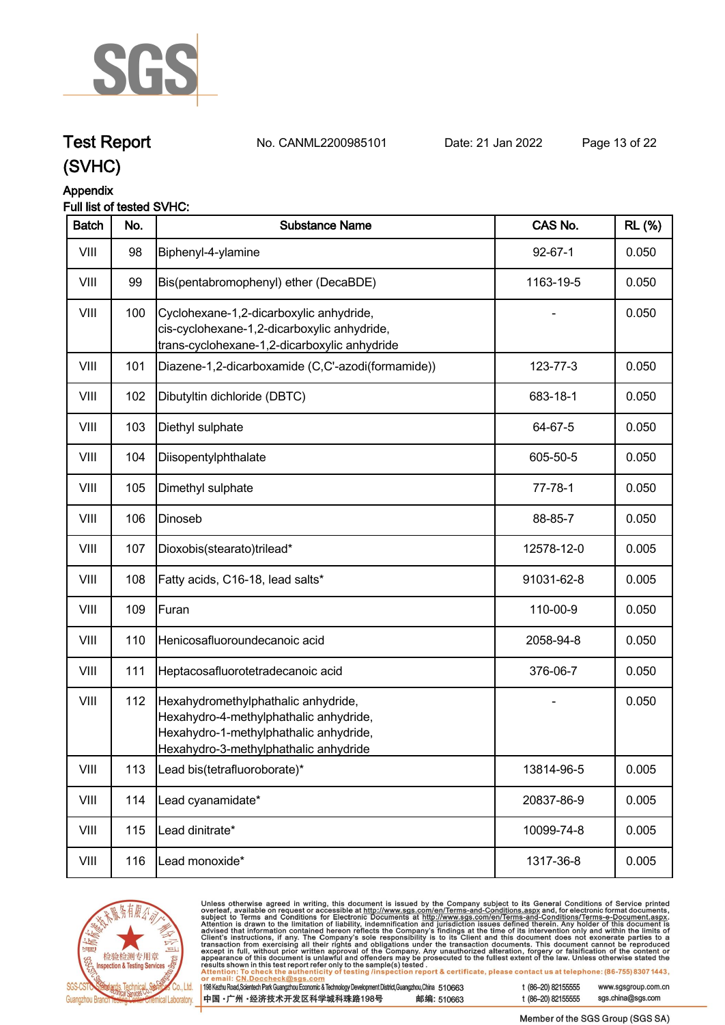

**Test Report. No. CANML2200985101 Date: 21 Jan 2022. Page 13 of 22.**

## **(SVHC)**

### **Appendix**

#### **Full list of tested SVHC:**

| <b>Batch</b> | No. | <b>Substance Name</b>                                                                                                                                            | CAS No.       | <b>RL (%)</b> |
|--------------|-----|------------------------------------------------------------------------------------------------------------------------------------------------------------------|---------------|---------------|
| VIII         | 98  | Biphenyl-4-ylamine                                                                                                                                               | $92 - 67 - 1$ | 0.050         |
| VIII         | 99  | Bis(pentabromophenyl) ether (DecaBDE)                                                                                                                            | 1163-19-5     | 0.050         |
| VIII         | 100 | Cyclohexane-1,2-dicarboxylic anhydride,<br>cis-cyclohexane-1,2-dicarboxylic anhydride,<br>trans-cyclohexane-1,2-dicarboxylic anhydride                           |               | 0.050         |
| VIII         | 101 | Diazene-1,2-dicarboxamide (C,C'-azodi(formamide))                                                                                                                | 123-77-3      | 0.050         |
| VIII         | 102 | Dibutyltin dichloride (DBTC)                                                                                                                                     | 683-18-1      | 0.050         |
| VIII         | 103 | Diethyl sulphate                                                                                                                                                 | 64-67-5       | 0.050         |
| VIII         | 104 | Diisopentylphthalate                                                                                                                                             | 605-50-5      | 0.050         |
| VIII         | 105 | Dimethyl sulphate                                                                                                                                                | $77 - 78 - 1$ | 0.050         |
| VIII         | 106 | Dinoseb                                                                                                                                                          | 88-85-7       | 0.050         |
| VIII         | 107 | Dioxobis(stearato)trilead*                                                                                                                                       | 12578-12-0    | 0.005         |
| VIII         | 108 | Fatty acids, C16-18, lead salts*                                                                                                                                 | 91031-62-8    | 0.005         |
| VIII         | 109 | Furan                                                                                                                                                            | 110-00-9      | 0.050         |
| VIII         | 110 | Henicosafluoroundecanoic acid                                                                                                                                    | 2058-94-8     | 0.050         |
| VIII         | 111 | Heptacosafluorotetradecanoic acid                                                                                                                                | 376-06-7      | 0.050         |
| VIII         | 112 | Hexahydromethylphathalic anhydride,<br>Hexahydro-4-methylphathalic anhydride,<br>Hexahydro-1-methylphathalic anhydride,<br>Hexahydro-3-methylphathalic anhydride |               | 0.050         |
| VIII         | 113 | Lead bis(tetrafluoroborate)*                                                                                                                                     | 13814-96-5    | 0.005         |
| VIII         | 114 | Lead cyanamidate*                                                                                                                                                | 20837-86-9    | 0.005         |
| VIII         | 115 | Lead dinitrate*                                                                                                                                                  | 10099-74-8    | 0.005         |
| VIII         | 116 | Lead monoxide*                                                                                                                                                   | 1317-36-8     | 0.005         |



Unless otherwise agreed in writing, this document is issued by the Company subject to its General Conditions of Service printed overleaf, available on request or accessible at http://www.sgs.com/en/Terms-and-Conditions.as

| 198 Kezhu Road, Scientech Park Guangzhou Economic & Technology Development District, Guangzhou, China 510663 |            |
|--------------------------------------------------------------------------------------------------------------|------------|
| 中国 •广州 •经济技术开发区科学城科珠路198号                                                                                    | 邮编: 510663 |

t (86-20) 82155555 www.sgsgroup.com.cn sgs.china@sgs.com t (86-20) 82155555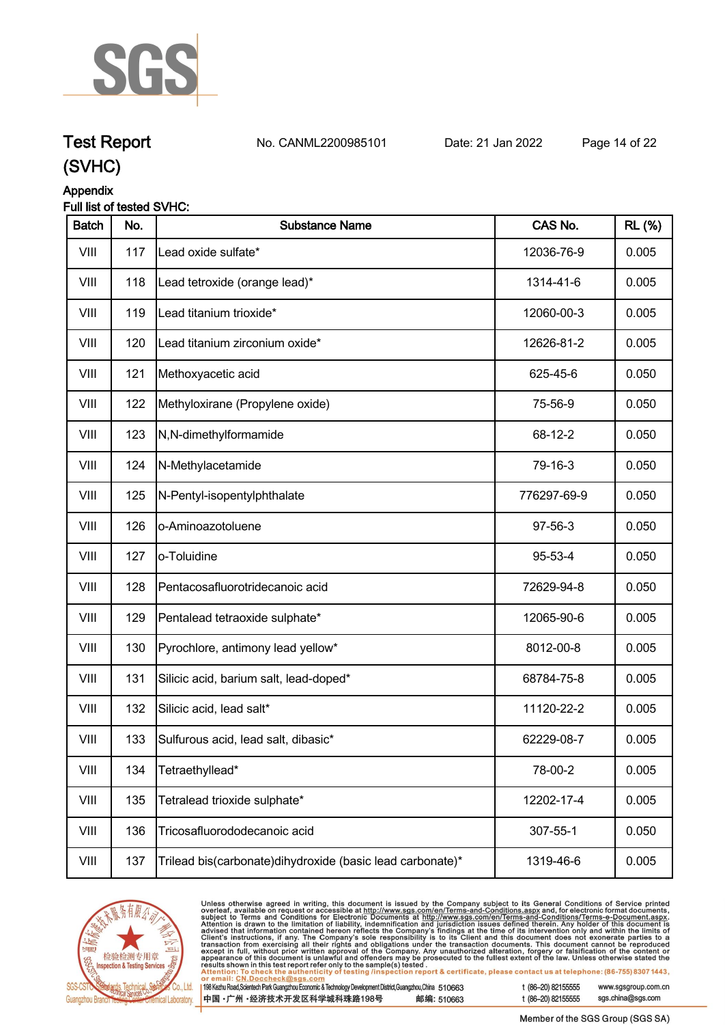

## **Test Report. No. CANML2200985101 Date: 21 Jan 2022. Page 14 of 22.**

## **(SVHC)**

### **Appendix**

#### **Full list of tested SVHC:**

| <b>Batch</b> | No. | <b>Substance Name</b>                                      | CAS No.     | <b>RL (%)</b> |
|--------------|-----|------------------------------------------------------------|-------------|---------------|
| VIII         | 117 | Lead oxide sulfate*                                        | 12036-76-9  | 0.005         |
| VIII         | 118 | Lead tetroxide (orange lead)*                              | 1314-41-6   | 0.005         |
| VIII         | 119 | Lead titanium trioxide*                                    | 12060-00-3  | 0.005         |
| VIII         | 120 | Lead titanium zirconium oxide*                             | 12626-81-2  | 0.005         |
| VIII         | 121 | Methoxyacetic acid                                         | 625-45-6    | 0.050         |
| VIII         | 122 | Methyloxirane (Propylene oxide)                            | 75-56-9     | 0.050         |
| VIII         | 123 | N,N-dimethylformamide                                      | 68-12-2     | 0.050         |
| VIII         | 124 | N-Methylacetamide                                          | 79-16-3     | 0.050         |
| VIII         | 125 | N-Pentyl-isopentylphthalate                                | 776297-69-9 | 0.050         |
| VIII         | 126 | o-Aminoazotoluene                                          | 97-56-3     | 0.050         |
| VIII         | 127 | o-Toluidine                                                | 95-53-4     | 0.050         |
| VIII         | 128 | Pentacosafluorotridecanoic acid                            | 72629-94-8  | 0.050         |
| VIII         | 129 | Pentalead tetraoxide sulphate*                             | 12065-90-6  | 0.005         |
| VIII         | 130 | Pyrochlore, antimony lead yellow*                          | 8012-00-8   | 0.005         |
| VIII         | 131 | Silicic acid, barium salt, lead-doped*                     | 68784-75-8  | 0.005         |
| VIII         | 132 | Silicic acid, lead salt*                                   | 11120-22-2  | 0.005         |
| VIII         | 133 | Sulfurous acid, lead salt, dibasic*                        | 62229-08-7  | 0.005         |
| VIII         | 134 | Tetraethyllead*                                            | 78-00-2     | 0.005         |
| VIII         | 135 | Tetralead trioxide sulphate*                               | 12202-17-4  | 0.005         |
| VIII         | 136 | Tricosafluorododecanoic acid                               | 307-55-1    | 0.050         |
| VIII         | 137 | Trilead bis(carbonate) dihydroxide (basic lead carbonate)* | 1319-46-6   | 0.005         |



Unless otherwise agreed in writing, this document is issued by the Company subject to its General Conditions of Service printed<br>overleaf, available on request or accessible at http://www.sgs.com/en/Terms-and-Conditions.as

| l 198 Kezhu Road,Scientech Park Guangzhou Economic & Technology Development District,Guangzhou,China 51 0663 |            |
|--------------------------------------------------------------------------------------------------------------|------------|
| 中国 •广州 •经济技术开发区科学城科珠路198号                                                                                    | 邮编: 510663 |

t (86-20) 82155555

t (86-20) 82155555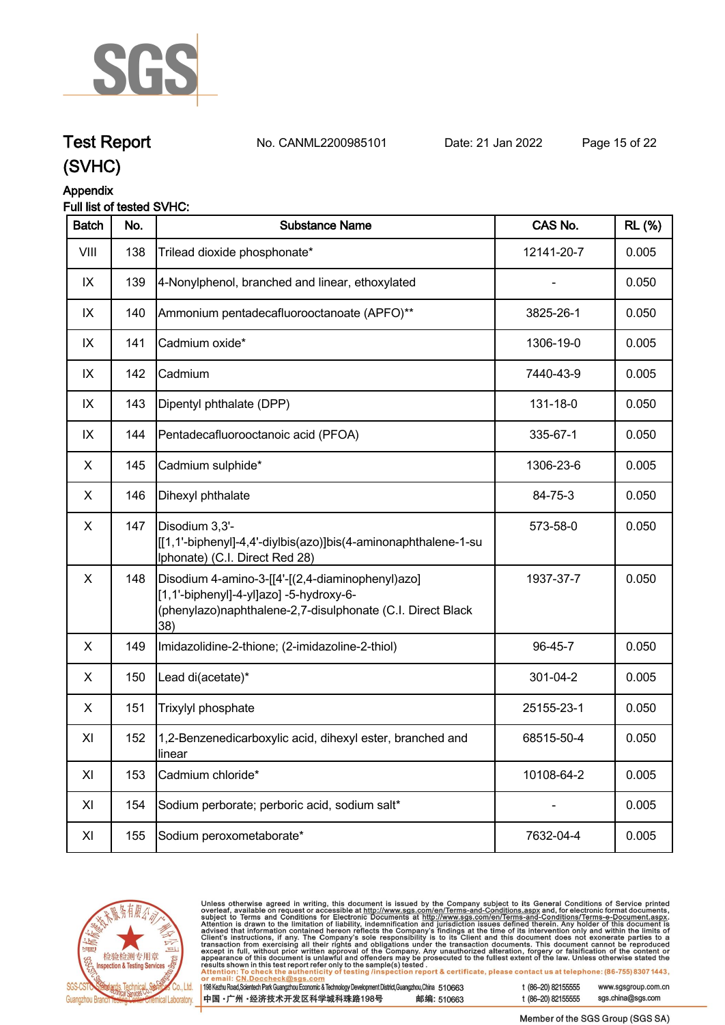

## **Test Report. No. CANML2200985101 Date: 21 Jan 2022. Page 15 of 22.**

## **(SVHC)**

### **Appendix**

#### **Full list of tested SVHC:**

| <b>Batch</b> | No. | <b>Substance Name</b>                                                                                                                                            | CAS No.    | <b>RL</b> (%) |
|--------------|-----|------------------------------------------------------------------------------------------------------------------------------------------------------------------|------------|---------------|
| VIII         | 138 | Trilead dioxide phosphonate*                                                                                                                                     | 12141-20-7 | 0.005         |
| IX           | 139 | 4-Nonylphenol, branched and linear, ethoxylated                                                                                                                  |            | 0.050         |
| IX           | 140 | Ammonium pentadecafluorooctanoate (APFO)**                                                                                                                       | 3825-26-1  | 0.050         |
| IX           | 141 | Cadmium oxide*                                                                                                                                                   | 1306-19-0  | 0.005         |
| IX           | 142 | Cadmium                                                                                                                                                          | 7440-43-9  | 0.005         |
| IX           | 143 | Dipentyl phthalate (DPP)                                                                                                                                         | 131-18-0   | 0.050         |
| IX           | 144 | Pentadecafluorooctanoic acid (PFOA)                                                                                                                              | 335-67-1   | 0.050         |
| X            | 145 | Cadmium sulphide*                                                                                                                                                | 1306-23-6  | 0.005         |
| X            | 146 | Dihexyl phthalate                                                                                                                                                | 84-75-3    | 0.050         |
| X            | 147 | Disodium 3,3'-<br>[[1,1'-biphenyl]-4,4'-diylbis(azo)]bis(4-aminonaphthalene-1-su<br>Iphonate) (C.I. Direct Red 28)                                               | 573-58-0   | 0.050         |
| X            | 148 | Disodium 4-amino-3-[[4'-[(2,4-diaminophenyl)azo]<br>[1,1'-biphenyl]-4-yl]azo] -5-hydroxy-6-<br>(phenylazo)naphthalene-2,7-disulphonate (C.I. Direct Black<br>38) | 1937-37-7  | 0.050         |
| X            | 149 | Imidazolidine-2-thione; (2-imidazoline-2-thiol)                                                                                                                  | 96-45-7    | 0.050         |
| X            | 150 | Lead di(acetate)*                                                                                                                                                | 301-04-2   | 0.005         |
| X            | 151 | Trixylyl phosphate                                                                                                                                               | 25155-23-1 | 0.050         |
| XI           | 152 | 1,2-Benzenedicarboxylic acid, dihexyl ester, branched and<br>linear                                                                                              | 68515-50-4 | 0.050         |
| XI           | 153 | Cadmium chloride*                                                                                                                                                | 10108-64-2 | 0.005         |
| XI           | 154 | Sodium perborate; perboric acid, sodium salt*                                                                                                                    |            | 0.005         |
| XI           | 155 | Sodium peroxometaborate*                                                                                                                                         | 7632-04-4  | 0.005         |



Unless otherwise agreed in writing, this document is issued by the Company subject to its General Conditions of Service printed overleaf, available on request or accessible at http://www.sgs.com/en/Terms-and-Conditions.as

198 Kezhu Road, Scientech Park Guangzhou Economic & Technology Development District, Guangzhou, China 510663 中国·广州·经济技术开发区科学城科珠路198号 邮编: 510663 t (86-20) 82155555

t (86-20) 82155555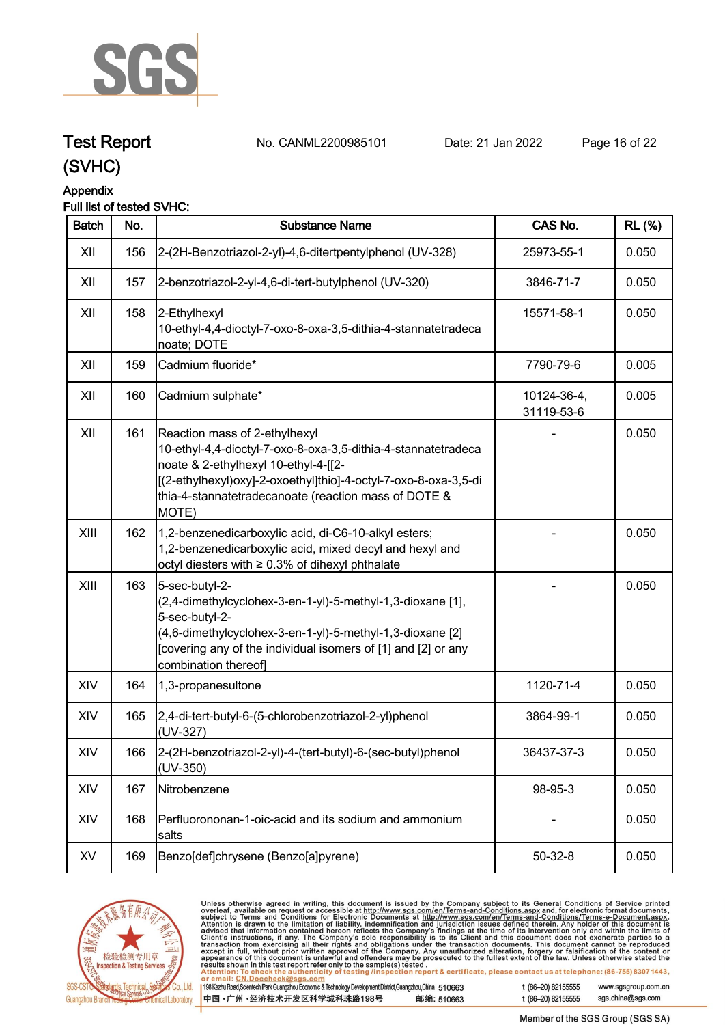

## **Test Report. No. CANML2200985101 Date: 21 Jan 2022. Page 16 of 22.**

**(SVHC)**

### **Appendix**

### **Full list of tested SVHC:**

| <b>Batch</b> | No. | <b>Substance Name</b>                                                                                                                                                                                                                                                      | CAS No.                   | <b>RL</b> (%) |
|--------------|-----|----------------------------------------------------------------------------------------------------------------------------------------------------------------------------------------------------------------------------------------------------------------------------|---------------------------|---------------|
| XII          | 156 | 2-(2H-Benzotriazol-2-yl)-4,6-ditertpentylphenol (UV-328)                                                                                                                                                                                                                   | 25973-55-1                | 0.050         |
| XII          | 157 | 2-benzotriazol-2-yl-4,6-di-tert-butylphenol (UV-320)                                                                                                                                                                                                                       | 3846-71-7                 | 0.050         |
| XII          | 158 | 2-Ethylhexyl<br>10-ethyl-4,4-dioctyl-7-oxo-8-oxa-3,5-dithia-4-stannatetradeca<br>noate; DOTE                                                                                                                                                                               | 15571-58-1                | 0.050         |
| XII          | 159 | Cadmium fluoride*                                                                                                                                                                                                                                                          | 7790-79-6                 | 0.005         |
| XII          | 160 | Cadmium sulphate*                                                                                                                                                                                                                                                          | 10124-36-4,<br>31119-53-6 | 0.005         |
| XII          | 161 | Reaction mass of 2-ethylhexyl<br>10-ethyl-4,4-dioctyl-7-oxo-8-oxa-3,5-dithia-4-stannatetradeca<br>noate & 2-ethylhexyl 10-ethyl-4-[[2-<br>[(2-ethylhexyl)oxy]-2-oxoethyl]thio]-4-octyl-7-oxo-8-oxa-3,5-di<br>thia-4-stannatetradecanoate (reaction mass of DOTE &<br>MOTE) |                           | 0.050         |
| XIII         | 162 | 1,2-benzenedicarboxylic acid, di-C6-10-alkyl esters;<br>1,2-benzenedicarboxylic acid, mixed decyl and hexyl and<br>octyl diesters with ≥ 0.3% of dihexyl phthalate                                                                                                         |                           | 0.050         |
| XIII         | 163 | 5-sec-butyl-2-<br>(2,4-dimethylcyclohex-3-en-1-yl)-5-methyl-1,3-dioxane [1],<br>5-sec-butyl-2-<br>(4,6-dimethylcyclohex-3-en-1-yl)-5-methyl-1,3-dioxane [2]<br>[covering any of the individual isomers of [1] and [2] or any<br>combination thereof]                       |                           | 0.050         |
| XIV          | 164 | 1,3-propanesultone                                                                                                                                                                                                                                                         | 1120-71-4                 | 0.050         |
| XIV          | 165 | 2,4-di-tert-butyl-6-(5-chlorobenzotriazol-2-yl)phenol<br>(UV-327)                                                                                                                                                                                                          | 3864-99-1                 | 0.050         |
| XIV          | 166 | 2-(2H-benzotriazol-2-yl)-4-(tert-butyl)-6-(sec-butyl)phenol<br>$(UV-350)$                                                                                                                                                                                                  | 36437-37-3                | 0.050         |
| XIV          | 167 | Nitrobenzene                                                                                                                                                                                                                                                               | 98-95-3                   | 0.050         |
| XIV          | 168 | Perfluorononan-1-oic-acid and its sodium and ammonium<br>salts                                                                                                                                                                                                             |                           | 0.050         |
| XV           | 169 | Benzo[def]chrysene (Benzo[a]pyrene)                                                                                                                                                                                                                                        | $50 - 32 - 8$             | 0.050         |



Unless otherwise agreed in writing, this document is issued by the Company subject to its General Conditions of Service printed overleaf, available on request or accessible at http://www.sgs.com/en/Terms-and-Conditions.as

198 Kezhu Road, Scientech Park Guangzhou Economic & Technology Development District, Guangzhou, China 510663 中国·广州·经济技术开发区科学城科珠路198号 邮编: 510663 t (86-20) 82155555

t (86-20) 82155555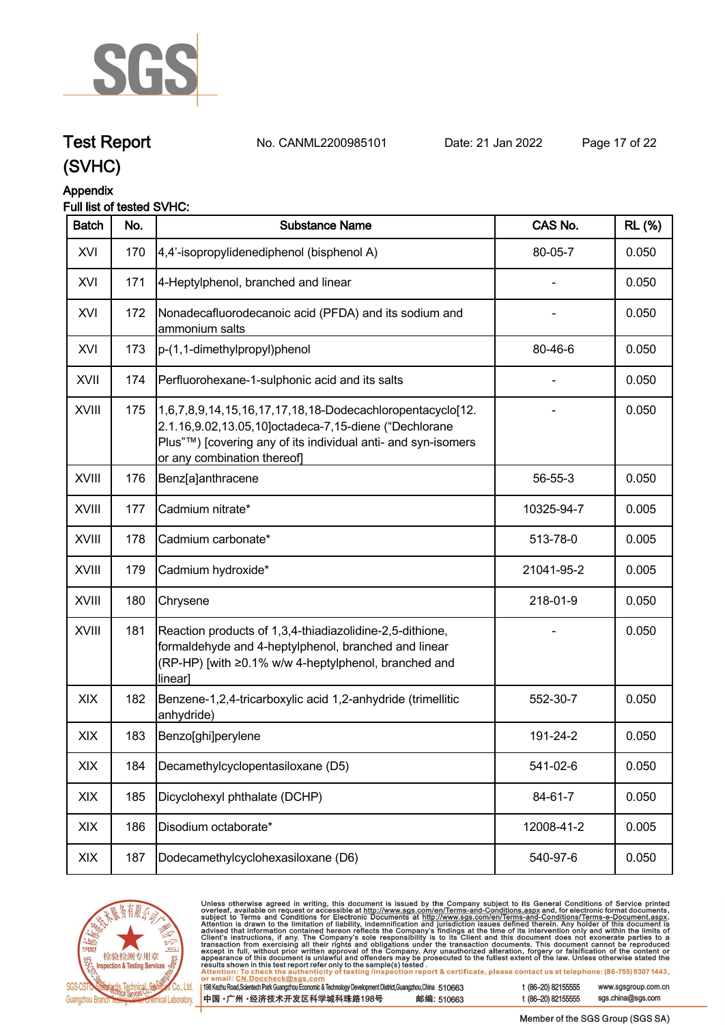

## **Test Report. No. CANML2200985101 Date: 21 Jan 2022. Page 17 of 22.**

## **(SVHC)**

#### **Appendix**

#### **Full list of tested SVHC:**

| <b>Batch</b> | No. | <b>Substance Name</b>                                                                                                                                                                                              | CAS No.    | <b>RL</b> (%) |
|--------------|-----|--------------------------------------------------------------------------------------------------------------------------------------------------------------------------------------------------------------------|------------|---------------|
| XVI          | 170 | 4,4'-isopropylidenediphenol (bisphenol A)                                                                                                                                                                          | 80-05-7    | 0.050         |
| XVI          | 171 | 4-Heptylphenol, branched and linear                                                                                                                                                                                |            | 0.050         |
| XVI          | 172 | Nonadecafluorodecanoic acid (PFDA) and its sodium and<br>ammonium salts                                                                                                                                            |            | 0.050         |
| XVI          | 173 | p-(1,1-dimethylpropyl)phenol                                                                                                                                                                                       | 80-46-6    | 0.050         |
| XVII         | 174 | Perfluorohexane-1-sulphonic acid and its salts                                                                                                                                                                     |            | 0.050         |
| XVIII        | 175 | 1,6,7,8,9,14,15,16,17,17,18,18-Dodecachloropentacyclo[12.<br>2.1.16,9.02,13.05,10]octadeca-7,15-diene ("Dechlorane<br>Plus"™) [covering any of its individual anti- and syn-isomers<br>or any combination thereof] |            | 0.050         |
| XVIII        | 176 | Benz[a]anthracene                                                                                                                                                                                                  | 56-55-3    | 0.050         |
| XVIII        | 177 | Cadmium nitrate*                                                                                                                                                                                                   | 10325-94-7 | 0.005         |
| XVIII        | 178 | Cadmium carbonate*                                                                                                                                                                                                 | 513-78-0   | 0.005         |
| <b>XVIII</b> | 179 | Cadmium hydroxide*                                                                                                                                                                                                 | 21041-95-2 | 0.005         |
| XVIII        | 180 | Chrysene                                                                                                                                                                                                           | 218-01-9   | 0.050         |
| XVIII        | 181 | Reaction products of 1,3,4-thiadiazolidine-2,5-dithione,<br>formaldehyde and 4-heptylphenol, branched and linear<br>(RP-HP) [with ≥0.1% w/w 4-heptylphenol, branched and<br>linear]                                |            | 0.050         |
| XIX          | 182 | Benzene-1,2,4-tricarboxylic acid 1,2-anhydride (trimellitic<br>anhydride)                                                                                                                                          | 552-30-7   | 0.050         |
| XIX          | 183 | Benzo[ghi]perylene                                                                                                                                                                                                 | 191-24-2   | 0.050         |
| XIX          | 184 | Decamethylcyclopentasiloxane (D5)                                                                                                                                                                                  | 541-02-6   | 0.050         |
| XIX          | 185 | Dicyclohexyl phthalate (DCHP)                                                                                                                                                                                      | 84-61-7    | 0.050         |
| XIX          | 186 | Disodium octaborate*                                                                                                                                                                                               | 12008-41-2 | 0.005         |
| XIX          | 187 | Dodecamethylcyclohexasiloxane (D6)                                                                                                                                                                                 | 540-97-6   | 0.050         |



Unless otherwise agreed in writing, this document is issued by the Company subject to its General Conditions of Service printed overleaf, available on request or accessible at http://www.sgs.com/en/Terms-and-Conditions.as

198 Kezhu Road, Scientech Park Guangzhou Economic & Technology Development District, Guangzhou, China 510663 中国·广州·经济技术开发区科学城科珠路198号 邮编: 510663 t (86-20) 82155555 www.sgsgroup.com.cn

t (86-20) 82155555

sgs.china@sgs.com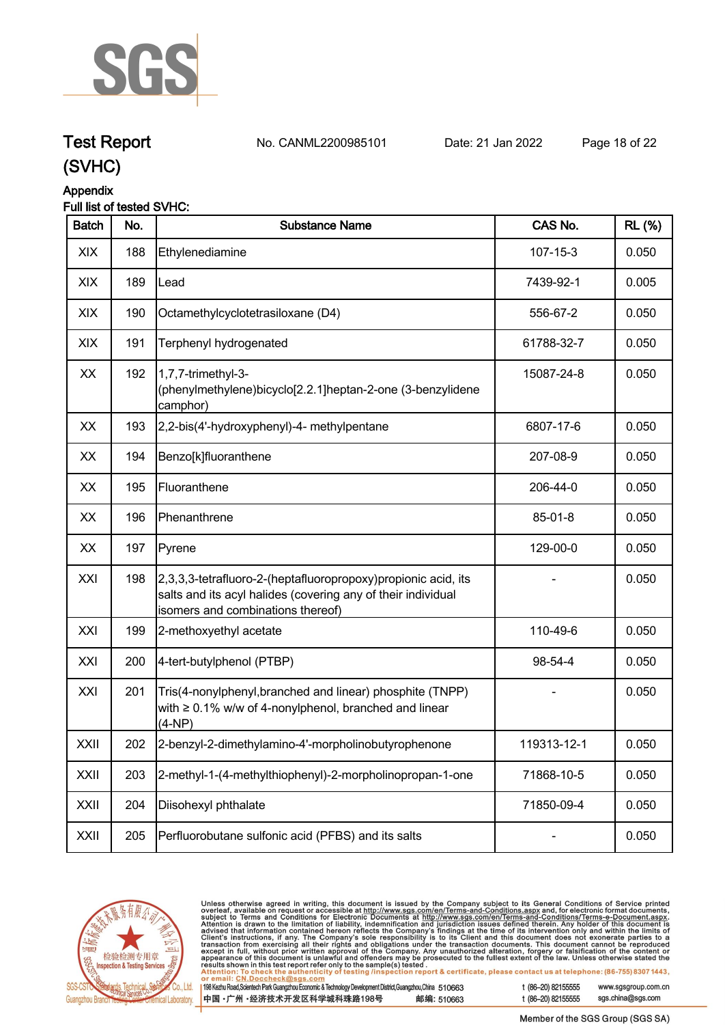

## **Test Report. No. CANML2200985101 Date: 21 Jan 2022. Page 18 of 22.**

## **(SVHC)**

### **Appendix**

#### **Full list of tested SVHC:**

| <b>Batch</b> | No. | <b>Substance Name</b>                                                                                                                                              | CAS No.        | <b>RL (%)</b> |
|--------------|-----|--------------------------------------------------------------------------------------------------------------------------------------------------------------------|----------------|---------------|
| XIX          | 188 | Ethylenediamine                                                                                                                                                    | $107 - 15 - 3$ | 0.050         |
| XIX          | 189 | Lead                                                                                                                                                               | 7439-92-1      | 0.005         |
| <b>XIX</b>   | 190 | Octamethylcyclotetrasiloxane (D4)                                                                                                                                  | 556-67-2       | 0.050         |
| XIX          | 191 | Terphenyl hydrogenated                                                                                                                                             | 61788-32-7     | 0.050         |
| XX           | 192 | 1,7,7-trimethyl-3-<br>(phenylmethylene)bicyclo[2.2.1]heptan-2-one (3-benzylidene<br>camphor)                                                                       | 15087-24-8     | 0.050         |
| XX           | 193 | 2,2-bis(4'-hydroxyphenyl)-4- methylpentane                                                                                                                         | 6807-17-6      | 0.050         |
| XX           | 194 | Benzo[k]fluoranthene                                                                                                                                               | 207-08-9       | 0.050         |
| XX           | 195 | Fluoranthene                                                                                                                                                       | 206-44-0       | 0.050         |
| XX           | 196 | Phenanthrene                                                                                                                                                       | 85-01-8        | 0.050         |
| XX           | 197 | Pyrene                                                                                                                                                             | 129-00-0       | 0.050         |
| XXI          | 198 | 2,3,3,3-tetrafluoro-2-(heptafluoropropoxy)propionic acid, its<br>salts and its acyl halides (covering any of their individual<br>isomers and combinations thereof) |                | 0.050         |
| XXI          | 199 | 2-methoxyethyl acetate                                                                                                                                             | 110-49-6       | 0.050         |
| XXI          | 200 | 4-tert-butylphenol (PTBP)                                                                                                                                          | 98-54-4        | 0.050         |
| XXI          | 201 | Tris(4-nonylphenyl, branched and linear) phosphite (TNPP)<br>with $\geq 0.1\%$ w/w of 4-nonylphenol, branched and linear<br>(4-NP)                                 |                | 0.050         |
| XXII         | 202 | 2-benzyl-2-dimethylamino-4'-morpholinobutyrophenone                                                                                                                | 119313-12-1    | 0.050         |
| XXII         | 203 | 2-methyl-1-(4-methylthiophenyl)-2-morpholinopropan-1-one                                                                                                           | 71868-10-5     | 0.050         |
| XXII         | 204 | Diisohexyl phthalate                                                                                                                                               | 71850-09-4     | 0.050         |
| XXII         | 205 | Perfluorobutane sulfonic acid (PFBS) and its salts                                                                                                                 |                | 0.050         |



Unless otherwise agreed in writing, this document is issued by the Company subject to its General Conditions of Service printed overleaf, available on request or accessible at http://www.sgs.com/en/Terms-and-Conditions.as

198 Kezhu Road, Scientech Park Guangzhou Economic & Technology Development District, Guangzhou, China 510663 中国·广州·经济技术开发区科学城科珠路198号 邮编: 510663 t (86-20) 82155555

t (86-20) 82155555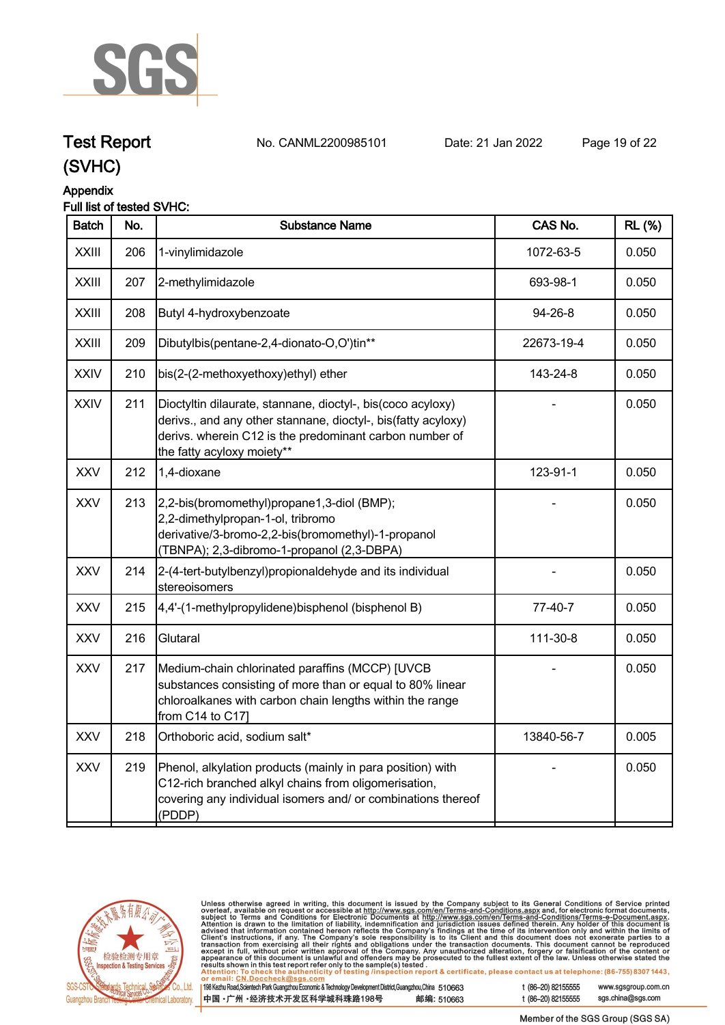

# **Test Report. No. CANML2200985101 Date: 21 Jan 2022. Page 19 of 22.**

**(SVHC)**



## **Appendix**

#### **Full list of tested SVHC:**

| <b>Batch</b> | No. | <b>Substance Name</b>                                                                                                                                                                                                 | CAS No.    | <b>RL (%)</b> |
|--------------|-----|-----------------------------------------------------------------------------------------------------------------------------------------------------------------------------------------------------------------------|------------|---------------|
| <b>XXIII</b> | 206 | 1-vinylimidazole                                                                                                                                                                                                      | 1072-63-5  | 0.050         |
| <b>XXIII</b> | 207 | 2-methylimidazole                                                                                                                                                                                                     | 693-98-1   | 0.050         |
| <b>XXIII</b> | 208 | Butyl 4-hydroxybenzoate                                                                                                                                                                                               | 94-26-8    | 0.050         |
| <b>XXIII</b> | 209 | Dibutylbis(pentane-2,4-dionato-O,O')tin**                                                                                                                                                                             | 22673-19-4 | 0.050         |
| <b>XXIV</b>  | 210 | bis(2-(2-methoxyethoxy)ethyl) ether                                                                                                                                                                                   | 143-24-8   | 0.050         |
| <b>XXIV</b>  | 211 | Dioctyltin dilaurate, stannane, dioctyl-, bis(coco acyloxy)<br>derivs., and any other stannane, dioctyl-, bis(fatty acyloxy)<br>derivs. wherein C12 is the predominant carbon number of<br>the fatty acyloxy moiety** |            | 0.050         |
| XXV          | 212 | 1,4-dioxane                                                                                                                                                                                                           | 123-91-1   | 0.050         |
| <b>XXV</b>   | 213 | 2,2-bis(bromomethyl)propane1,3-diol (BMP);<br>2,2-dimethylpropan-1-ol, tribromo<br>derivative/3-bromo-2,2-bis(bromomethyl)-1-propanol<br>(TBNPA); 2,3-dibromo-1-propanol (2,3-DBPA)                                   |            | 0.050         |
| <b>XXV</b>   | 214 | 2-(4-tert-butylbenzyl)propionaldehyde and its individual<br>stereoisomers                                                                                                                                             |            | 0.050         |
| <b>XXV</b>   | 215 | 4,4'-(1-methylpropylidene)bisphenol (bisphenol B)                                                                                                                                                                     | 77-40-7    | 0.050         |
| <b>XXV</b>   | 216 | Glutaral                                                                                                                                                                                                              | 111-30-8   | 0.050         |
| <b>XXV</b>   | 217 | Medium-chain chlorinated paraffins (MCCP) [UVCB<br>substances consisting of more than or equal to 80% linear<br>chloroalkanes with carbon chain lengths within the range<br>from C14 to C17]                          |            | 0.050         |
| <b>XXV</b>   | 218 | Orthoboric acid, sodium salt*                                                                                                                                                                                         | 13840-56-7 | 0.005         |
| <b>XXV</b>   | 219 | Phenol, alkylation products (mainly in para position) with<br>C12-rich branched alkyl chains from oligomerisation,<br>covering any individual isomers and/ or combinations thereof<br>(PDDP)                          |            | 0.050         |
|              |     |                                                                                                                                                                                                                       |            |               |



Unless otherwise agreed in writing, this document is issued by the Company subject to its General Conditions of Service printed overleaf, available on request or accessible at http://www.sgs.com/en/Terms-and-Conditions.as

198 Kezhu Road, Scientech Park Guangzhou Economic & Technology Development District, Guangzhou, China 510663 中国·广州·经济技术开发区科学城科珠路198号 邮编: 510663 t (86-20) 82155555

t (86-20) 82155555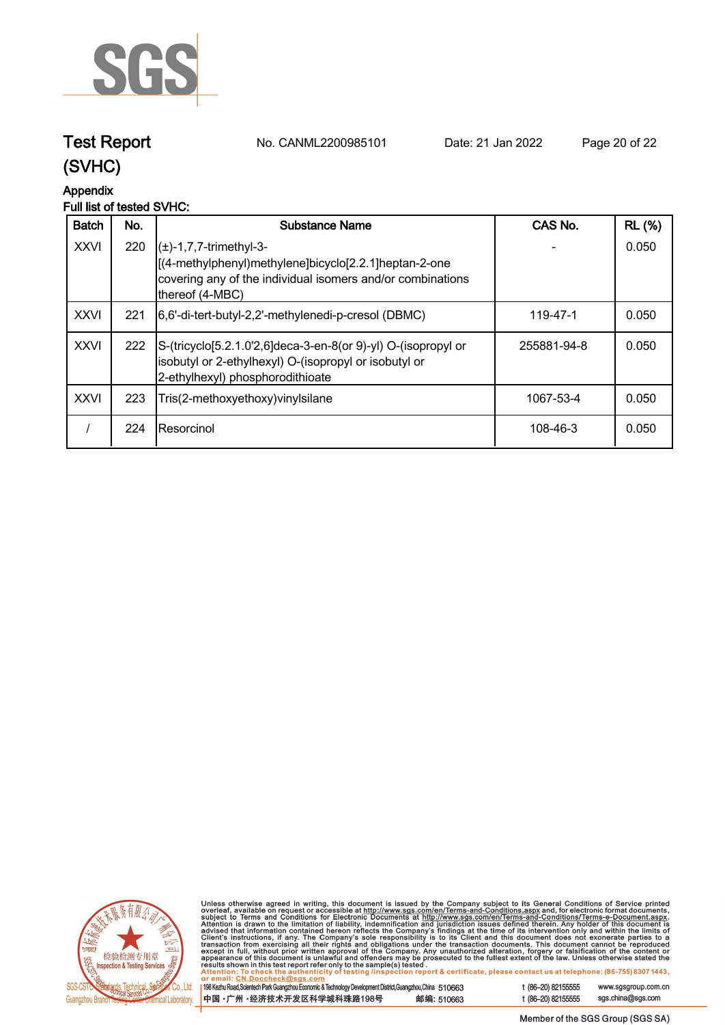

**Test Report. No. CANML2200985101 Date: 21 Jan 2022. Page 20 of 22.**

## **(SVHC)**

## **Appendix**

#### **Full list of tested SVHC:**

| <b>Batch</b> | No. | Substance Name                                                                                                                                                        | CAS No.     | <b>RL</b> (%) |
|--------------|-----|-----------------------------------------------------------------------------------------------------------------------------------------------------------------------|-------------|---------------|
| <b>XXVI</b>  | 220 | $(\pm)$ -1,7,7-trimethyl-3-<br>[(4-methylphenyl)methylene]bicyclo[2.2.1]heptan-2-one<br>covering any of the individual isomers and/or combinations<br>thereof (4-MBC) |             | 0.050         |
| <b>XXVI</b>  | 221 | [6,6'-di-tert-butyl-2,2'-methylenedi-p-cresol (DBMC)                                                                                                                  | 119-47-1    | 0.050         |
| <b>XXVI</b>  | 222 | S-(tricyclo[5.2.1.0'2,6]deca-3-en-8(or 9)-yl) O-(isopropyl or<br>isobutyl or 2-ethylhexyl) O-(isopropyl or isobutyl or<br>[2-ethylhexyl) phosphorodithioate           | 255881-94-8 | 0.050         |
| <b>XXVI</b>  | 223 | Tris(2-methoxyethoxy) vinyl silane                                                                                                                                    | 1067-53-4   | 0.050         |
|              | 224 | IResorcinol                                                                                                                                                           | 108-46-3    | 0.050         |



Unless otherwise agreed in writing, this document is issued by the Company subject to its General Conditions of Service printed overleaf, available on request or accessible at http://www.sgs.com/en/Terms-and-Conditions.as

198 Kezhu Road, Scientech Park Guangzhou Economic & Technology Development District, Guangzhou, China 510663 中国·广州·经济技术开发区科学城科珠路198号 邮编: 510663 t (86-20) 82155555 www.sgsgroup.com.cn t (86-20) 82155555 sgs.china@sgs.com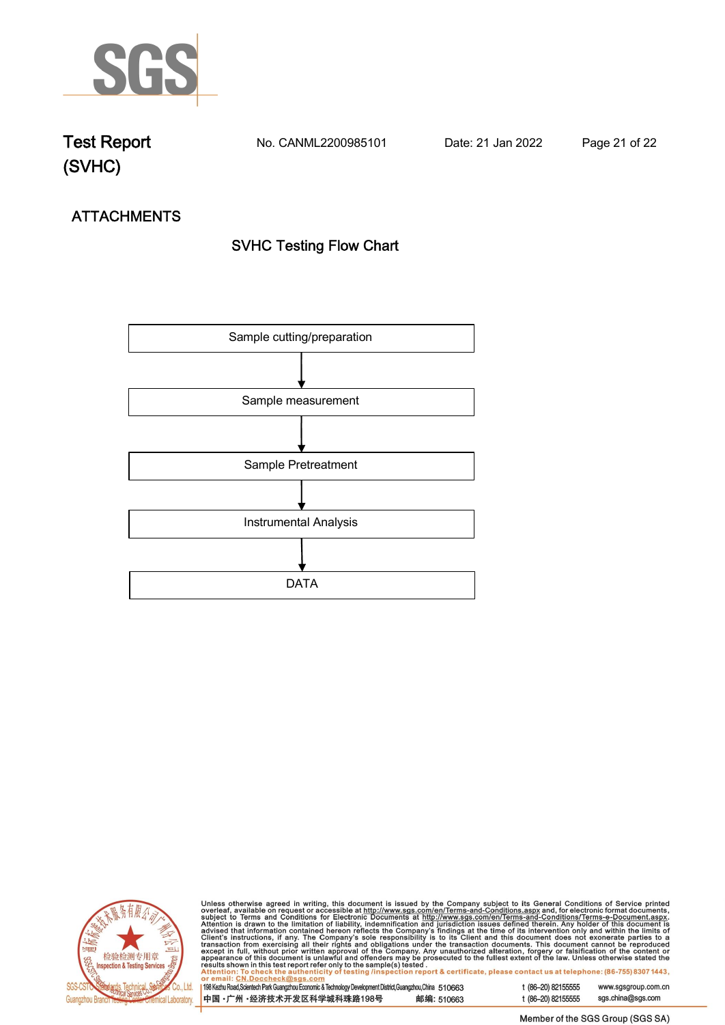

**Test Report. No. CANML2200985101 Date: 21 Jan 2022. Page 21 of 22.**

# **ATTACHMENTS SVHC Testing Flow Chart**





Unless otherwise agreed in writing, this document is issued by the Company subject to its General Conditions of Service printed overleaf, available on request or accessible at http://www.sgs.com/en/Terms-and-Conditions.as

198 Kezhu Road, Scientech Park Guangzhou Economic & Technology Development District, Guangzhou, China 510663 邮编: 510663 中国·广州·经济技术开发区科学城科珠路198号

t (86-20) 82155555 www.sgsgroup.com.cn t (86-20) 82155555 sgs.china@sgs.com